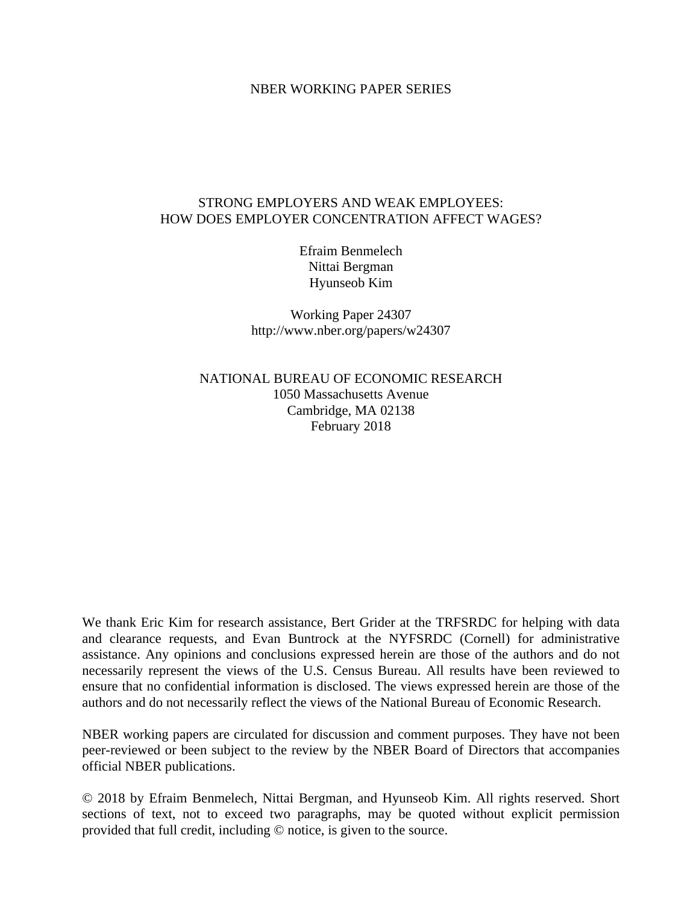## NBER WORKING PAPER SERIES

# STRONG EMPLOYERS AND WEAK EMPLOYEES: HOW DOES EMPLOYER CONCENTRATION AFFECT WAGES?

Efraim Benmelech Nittai Bergman Hyunseob Kim

Working Paper 24307 http://www.nber.org/papers/w24307

NATIONAL BUREAU OF ECONOMIC RESEARCH 1050 Massachusetts Avenue Cambridge, MA 02138 February 2018

We thank Eric Kim for research assistance, Bert Grider at the TRFSRDC for helping with data and clearance requests, and Evan Buntrock at the NYFSRDC (Cornell) for administrative assistance. Any opinions and conclusions expressed herein are those of the authors and do not necessarily represent the views of the U.S. Census Bureau. All results have been reviewed to ensure that no confidential information is disclosed. The views expressed herein are those of the authors and do not necessarily reflect the views of the National Bureau of Economic Research.

NBER working papers are circulated for discussion and comment purposes. They have not been peer-reviewed or been subject to the review by the NBER Board of Directors that accompanies official NBER publications.

© 2018 by Efraim Benmelech, Nittai Bergman, and Hyunseob Kim. All rights reserved. Short sections of text, not to exceed two paragraphs, may be quoted without explicit permission provided that full credit, including © notice, is given to the source.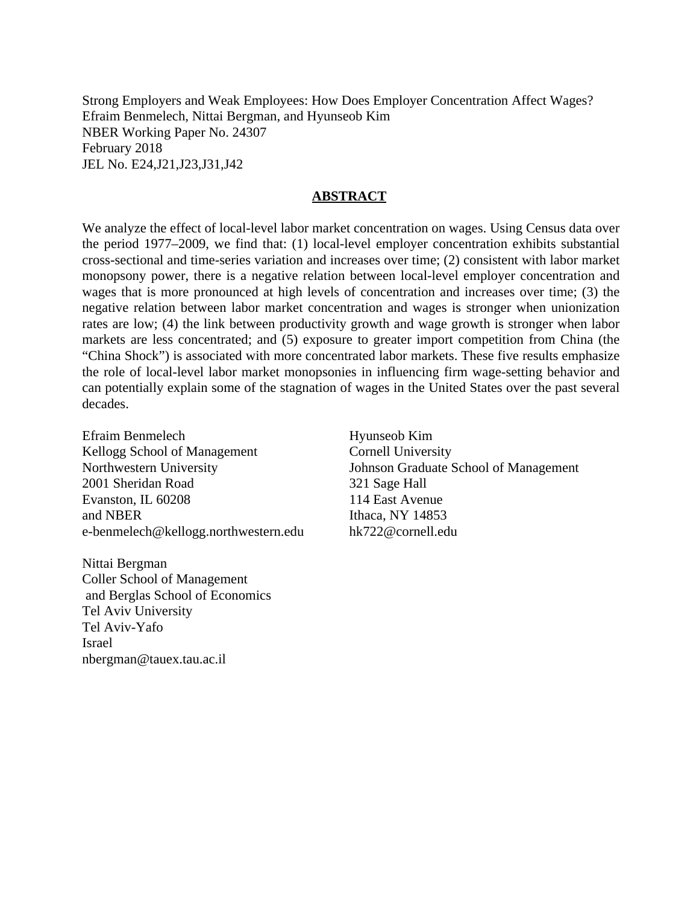Strong Employers and Weak Employees: How Does Employer Concentration Affect Wages? Efraim Benmelech, Nittai Bergman, and Hyunseob Kim NBER Working Paper No. 24307 February 2018 JEL No. E24,J21,J23,J31,J42

#### **ABSTRACT**

We analyze the effect of local-level labor market concentration on wages. Using Census data over the period 1977–2009, we find that: (1) local-level employer concentration exhibits substantial cross-sectional and time-series variation and increases over time; (2) consistent with labor market monopsony power, there is a negative relation between local-level employer concentration and wages that is more pronounced at high levels of concentration and increases over time; (3) the negative relation between labor market concentration and wages is stronger when unionization rates are low; (4) the link between productivity growth and wage growth is stronger when labor markets are less concentrated; and (5) exposure to greater import competition from China (the "China Shock") is associated with more concentrated labor markets. These five results emphasize the role of local-level labor market monopsonies in influencing firm wage-setting behavior and can potentially explain some of the stagnation of wages in the United States over the past several decades.

Efraim Benmelech Kellogg School of Management Northwestern University 2001 Sheridan Road Evanston, IL 60208 and NBER e-benmelech@kellogg.northwestern.edu

Nittai Bergman Coller School of Management and Berglas School of Economics Tel Aviv University Tel Aviv-Yafo Israel nbergman@tauex.tau.ac.il

Hyunseob Kim Cornell University Johnson Graduate School of Management 321 Sage Hall 114 East Avenue Ithaca, NY 14853 hk722@cornell.edu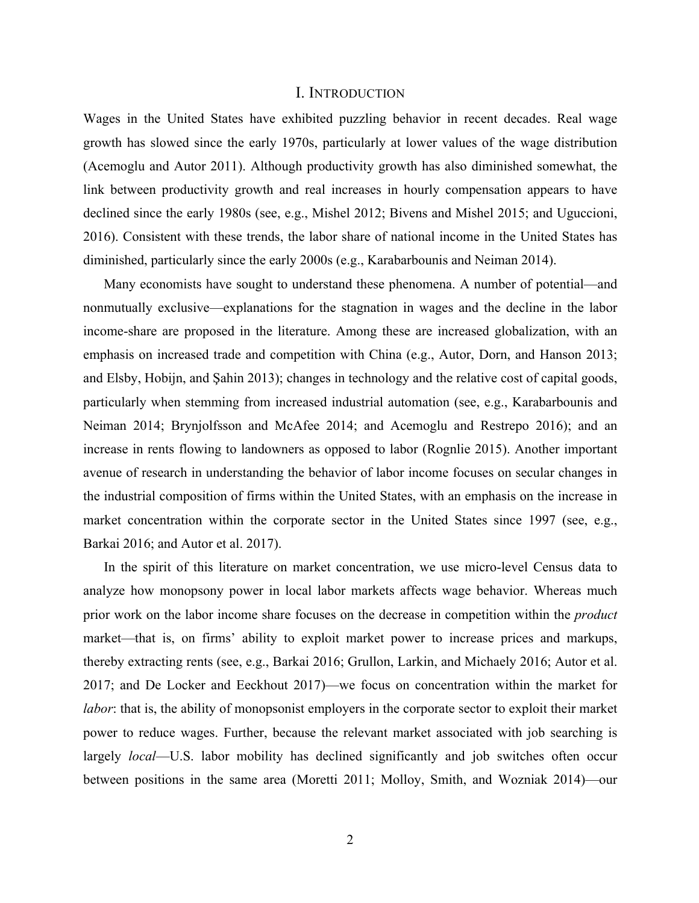#### I. INTRODUCTION

Wages in the United States have exhibited puzzling behavior in recent decades. Real wage growth has slowed since the early 1970s, particularly at lower values of the wage distribution (Acemoglu and Autor 2011). Although productivity growth has also diminished somewhat, the link between productivity growth and real increases in hourly compensation appears to have declined since the early 1980s (see, e.g., Mishel 2012; Bivens and Mishel 2015; and Uguccioni, 2016). Consistent with these trends, the labor share of national income in the United States has diminished, particularly since the early 2000s (e.g., Karabarbounis and Neiman 2014).

Many economists have sought to understand these phenomena. A number of potential—and nonmutually exclusive—explanations for the stagnation in wages and the decline in the labor income-share are proposed in the literature. Among these are increased globalization, with an emphasis on increased trade and competition with China (e.g., Autor, Dorn, and Hanson 2013; and Elsby, Hobijn, and Şahin 2013); changes in technology and the relative cost of capital goods, particularly when stemming from increased industrial automation (see, e.g., Karabarbounis and Neiman 2014; Brynjolfsson and McAfee 2014; and Acemoglu and Restrepo 2016); and an increase in rents flowing to landowners as opposed to labor (Rognlie 2015). Another important avenue of research in understanding the behavior of labor income focuses on secular changes in the industrial composition of firms within the United States, with an emphasis on the increase in market concentration within the corporate sector in the United States since 1997 (see, e.g., Barkai 2016; and Autor et al. 2017).

In the spirit of this literature on market concentration, we use micro-level Census data to analyze how monopsony power in local labor markets affects wage behavior. Whereas much prior work on the labor income share focuses on the decrease in competition within the *product*  market—that is, on firms' ability to exploit market power to increase prices and markups, thereby extracting rents (see, e.g., Barkai 2016; Grullon, Larkin, and Michaely 2016; Autor et al. 2017; and De Locker and Eeckhout 2017)—we focus on concentration within the market for *labor*: that is, the ability of monopsonist employers in the corporate sector to exploit their market power to reduce wages. Further, because the relevant market associated with job searching is largely *local*—U.S. labor mobility has declined significantly and job switches often occur between positions in the same area (Moretti 2011; Molloy, Smith, and Wozniak 2014)—our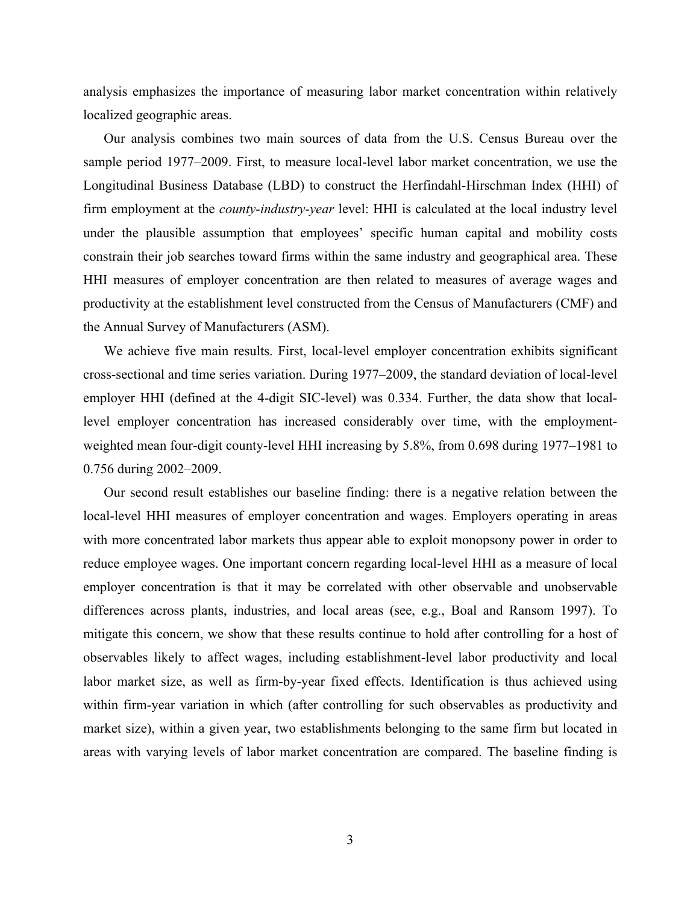analysis emphasizes the importance of measuring labor market concentration within relatively localized geographic areas.

Our analysis combines two main sources of data from the U.S. Census Bureau over the sample period 1977–2009. First, to measure local-level labor market concentration, we use the Longitudinal Business Database (LBD) to construct the Herfindahl-Hirschman Index (HHI) of firm employment at the *county-industry-year* level: HHI is calculated at the local industry level under the plausible assumption that employees' specific human capital and mobility costs constrain their job searches toward firms within the same industry and geographical area. These HHI measures of employer concentration are then related to measures of average wages and productivity at the establishment level constructed from the Census of Manufacturers (CMF) and the Annual Survey of Manufacturers (ASM).

We achieve five main results. First, local-level employer concentration exhibits significant cross-sectional and time series variation. During 1977–2009, the standard deviation of local-level employer HHI (defined at the 4-digit SIC-level) was 0.334. Further, the data show that locallevel employer concentration has increased considerably over time, with the employmentweighted mean four-digit county-level HHI increasing by 5.8%, from 0.698 during 1977–1981 to 0.756 during 2002–2009.

Our second result establishes our baseline finding: there is a negative relation between the local-level HHI measures of employer concentration and wages. Employers operating in areas with more concentrated labor markets thus appear able to exploit monopsony power in order to reduce employee wages. One important concern regarding local-level HHI as a measure of local employer concentration is that it may be correlated with other observable and unobservable differences across plants, industries, and local areas (see, e.g., Boal and Ransom 1997). To mitigate this concern, we show that these results continue to hold after controlling for a host of observables likely to affect wages, including establishment-level labor productivity and local labor market size, as well as firm-by-year fixed effects. Identification is thus achieved using within firm-year variation in which (after controlling for such observables as productivity and market size), within a given year, two establishments belonging to the same firm but located in areas with varying levels of labor market concentration are compared. The baseline finding is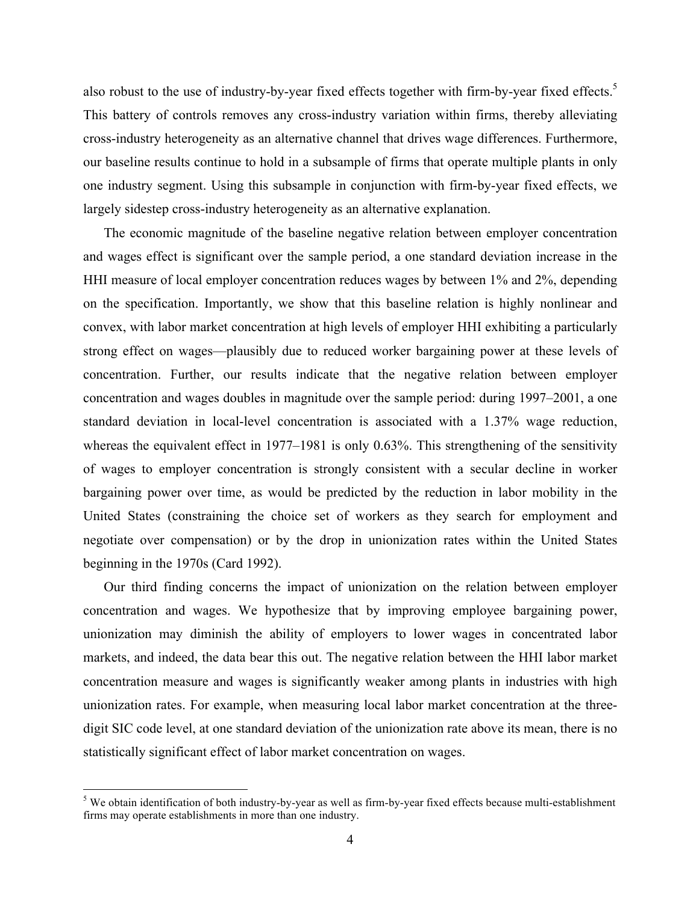also robust to the use of industry-by-year fixed effects together with firm-by-year fixed effects.<sup>5</sup> This battery of controls removes any cross-industry variation within firms, thereby alleviating cross-industry heterogeneity as an alternative channel that drives wage differences. Furthermore, our baseline results continue to hold in a subsample of firms that operate multiple plants in only one industry segment. Using this subsample in conjunction with firm-by-year fixed effects, we largely sidestep cross-industry heterogeneity as an alternative explanation.

The economic magnitude of the baseline negative relation between employer concentration and wages effect is significant over the sample period, a one standard deviation increase in the HHI measure of local employer concentration reduces wages by between 1% and 2%, depending on the specification. Importantly, we show that this baseline relation is highly nonlinear and convex, with labor market concentration at high levels of employer HHI exhibiting a particularly strong effect on wages—plausibly due to reduced worker bargaining power at these levels of concentration. Further, our results indicate that the negative relation between employer concentration and wages doubles in magnitude over the sample period: during 1997–2001, a one standard deviation in local-level concentration is associated with a 1.37% wage reduction, whereas the equivalent effect in 1977–1981 is only 0.63%. This strengthening of the sensitivity of wages to employer concentration is strongly consistent with a secular decline in worker bargaining power over time, as would be predicted by the reduction in labor mobility in the United States (constraining the choice set of workers as they search for employment and negotiate over compensation) or by the drop in unionization rates within the United States beginning in the 1970s (Card 1992).

Our third finding concerns the impact of unionization on the relation between employer concentration and wages. We hypothesize that by improving employee bargaining power, unionization may diminish the ability of employers to lower wages in concentrated labor markets, and indeed, the data bear this out. The negative relation between the HHI labor market concentration measure and wages is significantly weaker among plants in industries with high unionization rates. For example, when measuring local labor market concentration at the threedigit SIC code level, at one standard deviation of the unionization rate above its mean, there is no statistically significant effect of labor market concentration on wages.

<sup>&</sup>lt;sup>5</sup> We obtain identification of both industry-by-year as well as firm-by-year fixed effects because multi-establishment firms may operate establishments in more than one industry.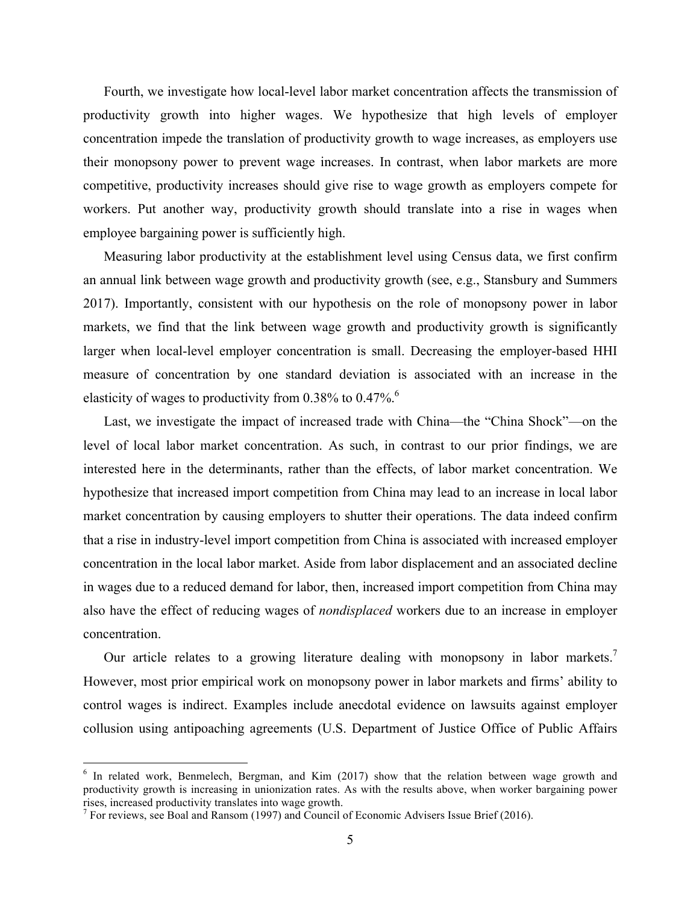Fourth, we investigate how local-level labor market concentration affects the transmission of productivity growth into higher wages. We hypothesize that high levels of employer concentration impede the translation of productivity growth to wage increases, as employers use their monopsony power to prevent wage increases. In contrast, when labor markets are more competitive, productivity increases should give rise to wage growth as employers compete for workers. Put another way, productivity growth should translate into a rise in wages when employee bargaining power is sufficiently high.

Measuring labor productivity at the establishment level using Census data, we first confirm an annual link between wage growth and productivity growth (see, e.g., Stansbury and Summers 2017). Importantly, consistent with our hypothesis on the role of monopsony power in labor markets, we find that the link between wage growth and productivity growth is significantly larger when local-level employer concentration is small. Decreasing the employer-based HHI measure of concentration by one standard deviation is associated with an increase in the elasticity of wages to productivity from 0.38% to 0.47%.<sup>6</sup>

Last, we investigate the impact of increased trade with China—the "China Shock"—on the level of local labor market concentration. As such, in contrast to our prior findings, we are interested here in the determinants, rather than the effects, of labor market concentration. We hypothesize that increased import competition from China may lead to an increase in local labor market concentration by causing employers to shutter their operations. The data indeed confirm that a rise in industry-level import competition from China is associated with increased employer concentration in the local labor market. Aside from labor displacement and an associated decline in wages due to a reduced demand for labor, then, increased import competition from China may also have the effect of reducing wages of *nondisplaced* workers due to an increase in employer concentration.

Our article relates to a growing literature dealing with monopsony in labor markets.<sup>7</sup> However, most prior empirical work on monopsony power in labor markets and firms' ability to control wages is indirect. Examples include anecdotal evidence on lawsuits against employer collusion using antipoaching agreements (U.S. Department of Justice Office of Public Affairs

<sup>&</sup>lt;sup>6</sup> In related work, Benmelech, Bergman, and Kim (2017) show that the relation between wage growth and productivity growth is increasing in unionization rates. As with the results above, when worker bargaining power rises, increased productivity translates into wage growth.

 $<sup>7</sup>$  For reviews, see Boal and Ransom (1997) and Council of Economic Advisers Issue Brief (2016).</sup>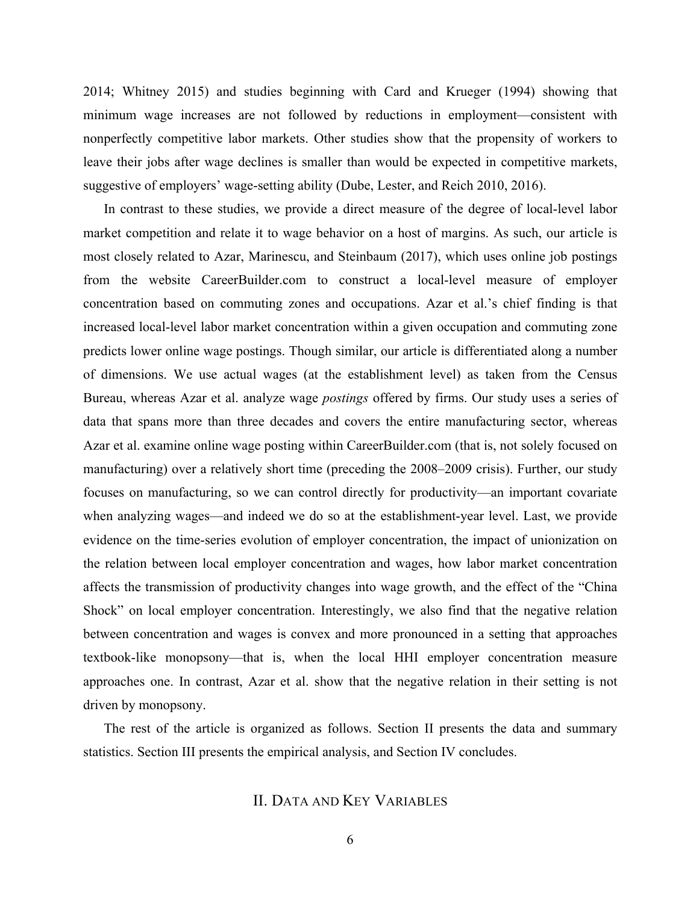2014; Whitney 2015) and studies beginning with Card and Krueger (1994) showing that minimum wage increases are not followed by reductions in employment—consistent with nonperfectly competitive labor markets. Other studies show that the propensity of workers to leave their jobs after wage declines is smaller than would be expected in competitive markets, suggestive of employers' wage-setting ability (Dube, Lester, and Reich 2010, 2016).

In contrast to these studies, we provide a direct measure of the degree of local-level labor market competition and relate it to wage behavior on a host of margins. As such, our article is most closely related to Azar, Marinescu, and Steinbaum (2017), which uses online job postings from the website CareerBuilder.com to construct a local-level measure of employer concentration based on commuting zones and occupations. Azar et al.'s chief finding is that increased local-level labor market concentration within a given occupation and commuting zone predicts lower online wage postings. Though similar, our article is differentiated along a number of dimensions. We use actual wages (at the establishment level) as taken from the Census Bureau, whereas Azar et al. analyze wage *postings* offered by firms. Our study uses a series of data that spans more than three decades and covers the entire manufacturing sector, whereas Azar et al. examine online wage posting within CareerBuilder.com (that is, not solely focused on manufacturing) over a relatively short time (preceding the 2008–2009 crisis). Further, our study focuses on manufacturing, so we can control directly for productivity—an important covariate when analyzing wages—and indeed we do so at the establishment-year level. Last, we provide evidence on the time-series evolution of employer concentration, the impact of unionization on the relation between local employer concentration and wages, how labor market concentration affects the transmission of productivity changes into wage growth, and the effect of the "China Shock" on local employer concentration. Interestingly, we also find that the negative relation between concentration and wages is convex and more pronounced in a setting that approaches textbook-like monopsony—that is, when the local HHI employer concentration measure approaches one. In contrast, Azar et al. show that the negative relation in their setting is not driven by monopsony.

The rest of the article is organized as follows. Section II presents the data and summary statistics. Section III presents the empirical analysis, and Section IV concludes.

# II. DATA AND KEY VARIABLES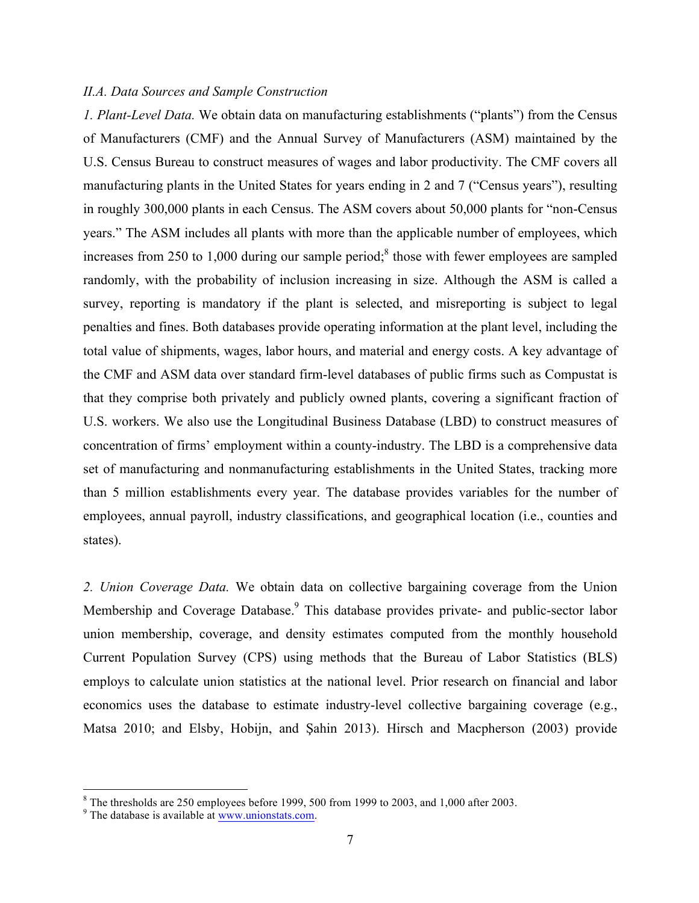## *II.A. Data Sources and Sample Construction*

*1. Plant-Level Data.* We obtain data on manufacturing establishments ("plants") from the Census of Manufacturers (CMF) and the Annual Survey of Manufacturers (ASM) maintained by the U.S. Census Bureau to construct measures of wages and labor productivity. The CMF covers all manufacturing plants in the United States for years ending in 2 and 7 ("Census years"), resulting in roughly 300,000 plants in each Census. The ASM covers about 50,000 plants for "non-Census years." The ASM includes all plants with more than the applicable number of employees, which increases from 250 to 1,000 during our sample period;<sup>8</sup> those with fewer employees are sampled randomly, with the probability of inclusion increasing in size. Although the ASM is called a survey, reporting is mandatory if the plant is selected, and misreporting is subject to legal penalties and fines. Both databases provide operating information at the plant level, including the total value of shipments, wages, labor hours, and material and energy costs. A key advantage of the CMF and ASM data over standard firm-level databases of public firms such as Compustat is that they comprise both privately and publicly owned plants, covering a significant fraction of U.S. workers. We also use the Longitudinal Business Database (LBD) to construct measures of concentration of firms' employment within a county-industry. The LBD is a comprehensive data set of manufacturing and nonmanufacturing establishments in the United States, tracking more than 5 million establishments every year. The database provides variables for the number of employees, annual payroll, industry classifications, and geographical location (i.e., counties and states).

*2. Union Coverage Data.* We obtain data on collective bargaining coverage from the Union Membership and Coverage Database.<sup>9</sup> This database provides private- and public-sector labor union membership, coverage, and density estimates computed from the monthly household Current Population Survey (CPS) using methods that the Bureau of Labor Statistics (BLS) employs to calculate union statistics at the national level. Prior research on financial and labor economics uses the database to estimate industry-level collective bargaining coverage (e.g., Matsa 2010; and Elsby, Hobijn, and Şahin 2013). Hirsch and Macpherson (2003) provide

 $8 \text{ The thresholds are } 250 \text{ employees before } 1999, 500 \text{ from } 1999 \text{ to } 2003, \text{ and } 1,000 \text{ after } 2003.$ <br><sup>9</sup> The database is available at www.unionstats.com.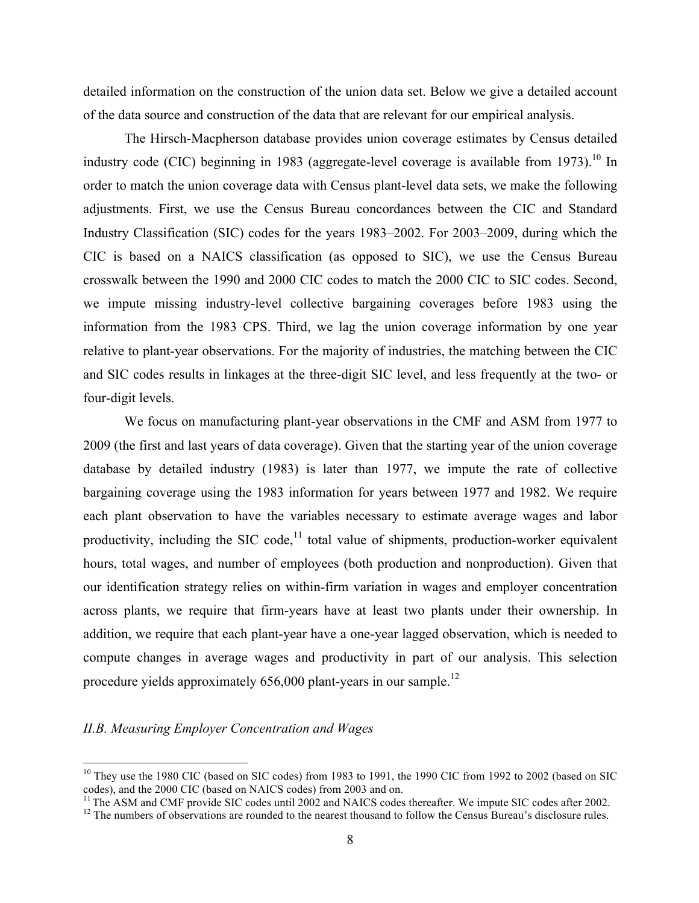detailed information on the construction of the union data set. Below we give a detailed account of the data source and construction of the data that are relevant for our empirical analysis.

The Hirsch-Macpherson database provides union coverage estimates by Census detailed industry code (CIC) beginning in 1983 (aggregate-level coverage is available from 1973).<sup>10</sup> In order to match the union coverage data with Census plant-level data sets, we make the following adjustments. First, we use the Census Bureau concordances between the CIC and Standard Industry Classification (SIC) codes for the years 1983–2002. For 2003–2009, during which the CIC is based on a NAICS classification (as opposed to SIC), we use the Census Bureau crosswalk between the 1990 and 2000 CIC codes to match the 2000 CIC to SIC codes. Second, we impute missing industry-level collective bargaining coverages before 1983 using the information from the 1983 CPS. Third, we lag the union coverage information by one year relative to plant-year observations. For the majority of industries, the matching between the CIC and SIC codes results in linkages at the three-digit SIC level, and less frequently at the two- or four-digit levels.

We focus on manufacturing plant-year observations in the CMF and ASM from 1977 to 2009 (the first and last years of data coverage). Given that the starting year of the union coverage database by detailed industry (1983) is later than 1977, we impute the rate of collective bargaining coverage using the 1983 information for years between 1977 and 1982. We require each plant observation to have the variables necessary to estimate average wages and labor productivity, including the SIC code, $<sup>11</sup>$  total value of shipments, production-worker equivalent</sup> hours, total wages, and number of employees (both production and nonproduction). Given that our identification strategy relies on within-firm variation in wages and employer concentration across plants, we require that firm-years have at least two plants under their ownership. In addition, we require that each plant-year have a one-year lagged observation, which is needed to compute changes in average wages and productivity in part of our analysis. This selection procedure yields approximately  $656,000$  plant-years in our sample.<sup>12</sup>

### *II.B. Measuring Employer Concentration and Wages*

<sup>&</sup>lt;sup>10</sup> They use the 1980 CIC (based on SIC codes) from 1983 to 1991, the 1990 CIC from 1992 to 2002 (based on SIC codes), and the 2000 CIC (based on NAICS codes) from 2003 and on.

<sup>&</sup>lt;sup>11</sup> The ASM and CMF provide SIC codes until 2002 and NAICS codes thereafter. We impute SIC codes after 2002. <sup>12</sup> The numbers of observations are rounded to the nearest thousand to follow the Census Bureau's disclosure r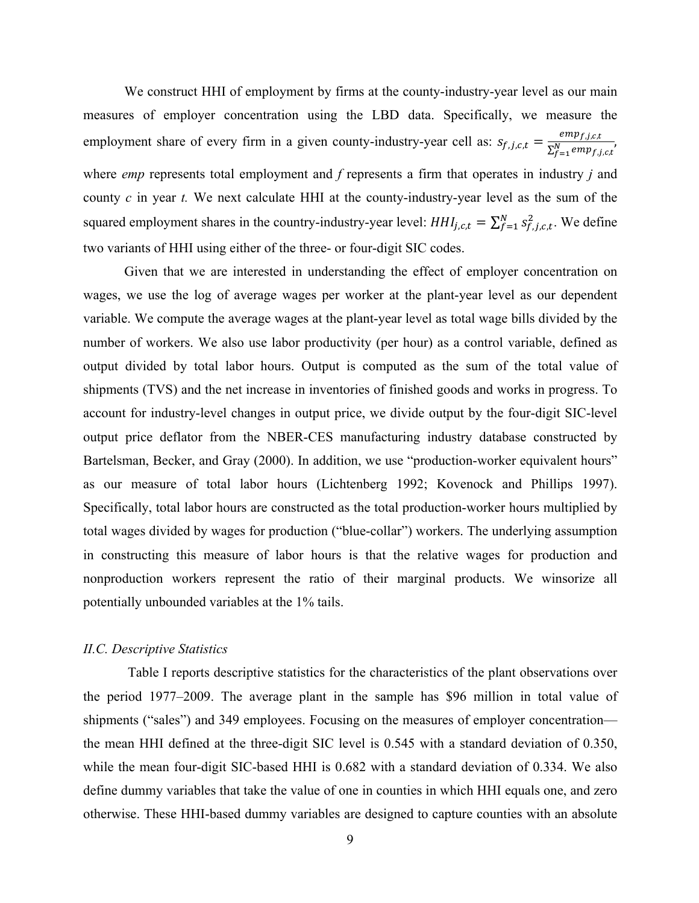We construct HHI of employment by firms at the county-industry-year level as our main measures of employer concentration using the LBD data. Specifically, we measure the employment share of every firm in a given county-industry-year cell as:  $s_{f,j,c,t} = \frac{emp_{f,j,c,t}}{\sum_{f=1}^{N}emp_{f,j,c,t}}$ where *emp* represents total employment and *f* represents a firm that operates in industry *j* and county *c* in year *t.* We next calculate HHI at the county-industry-year level as the sum of the squared employment shares in the country-industry-year level:  $HH_{j,c,t} = \sum_{f=1}^{N} s_{f,j,c,t}^2$ . We define two variants of HHI using either of the three- or four-digit SIC codes.

Given that we are interested in understanding the effect of employer concentration on wages, we use the log of average wages per worker at the plant-year level as our dependent variable. We compute the average wages at the plant-year level as total wage bills divided by the number of workers. We also use labor productivity (per hour) as a control variable, defined as output divided by total labor hours. Output is computed as the sum of the total value of shipments (TVS) and the net increase in inventories of finished goods and works in progress. To account for industry-level changes in output price, we divide output by the four-digit SIC-level output price deflator from the NBER-CES manufacturing industry database constructed by Bartelsman, Becker, and Gray (2000). In addition, we use "production-worker equivalent hours" as our measure of total labor hours (Lichtenberg 1992; Kovenock and Phillips 1997). Specifically, total labor hours are constructed as the total production-worker hours multiplied by total wages divided by wages for production ("blue-collar") workers. The underlying assumption in constructing this measure of labor hours is that the relative wages for production and nonproduction workers represent the ratio of their marginal products. We winsorize all potentially unbounded variables at the 1% tails.

#### *II.C. Descriptive Statistics*

Table I reports descriptive statistics for the characteristics of the plant observations over the period 1977–2009. The average plant in the sample has \$96 million in total value of shipments ("sales") and 349 employees. Focusing on the measures of employer concentration the mean HHI defined at the three-digit SIC level is 0.545 with a standard deviation of 0.350, while the mean four-digit SIC-based HHI is 0.682 with a standard deviation of 0.334. We also define dummy variables that take the value of one in counties in which HHI equals one, and zero otherwise. These HHI-based dummy variables are designed to capture counties with an absolute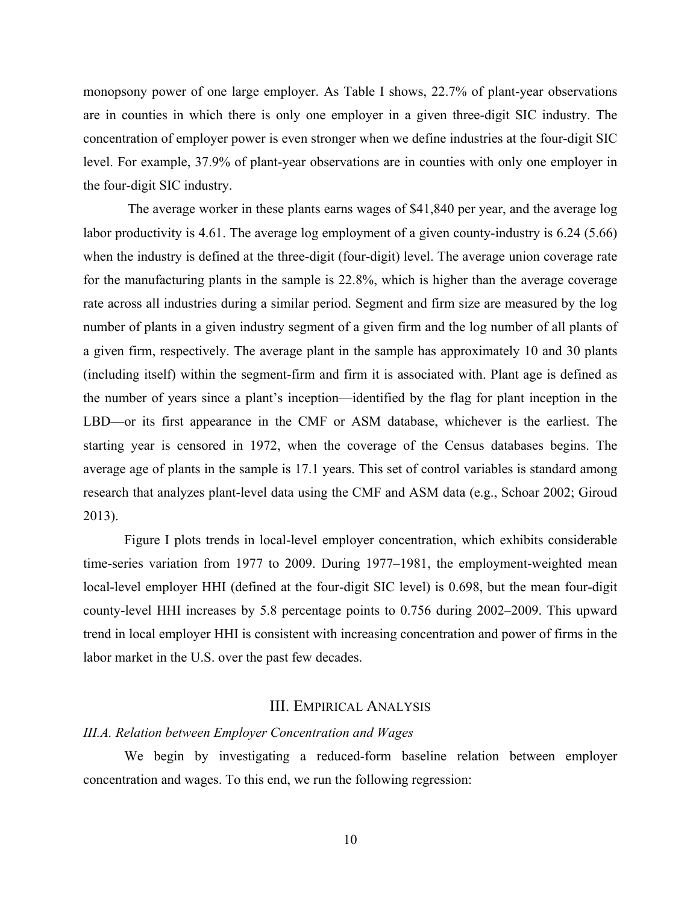monopsony power of one large employer. As Table I shows, 22.7% of plant-year observations are in counties in which there is only one employer in a given three-digit SIC industry. The concentration of employer power is even stronger when we define industries at the four-digit SIC level. For example, 37.9% of plant-year observations are in counties with only one employer in the four-digit SIC industry.

The average worker in these plants earns wages of \$41,840 per year, and the average log labor productivity is 4.61. The average log employment of a given county-industry is 6.24 (5.66) when the industry is defined at the three-digit (four-digit) level. The average union coverage rate for the manufacturing plants in the sample is 22.8%, which is higher than the average coverage rate across all industries during a similar period. Segment and firm size are measured by the log number of plants in a given industry segment of a given firm and the log number of all plants of a given firm, respectively. The average plant in the sample has approximately 10 and 30 plants (including itself) within the segment-firm and firm it is associated with. Plant age is defined as the number of years since a plant's inception—identified by the flag for plant inception in the LBD—or its first appearance in the CMF or ASM database, whichever is the earliest. The starting year is censored in 1972, when the coverage of the Census databases begins. The average age of plants in the sample is 17.1 years. This set of control variables is standard among research that analyzes plant-level data using the CMF and ASM data (e.g., Schoar 2002; Giroud 2013).

Figure I plots trends in local-level employer concentration, which exhibits considerable time-series variation from 1977 to 2009. During 1977–1981, the employment-weighted mean local-level employer HHI (defined at the four-digit SIC level) is 0.698, but the mean four-digit county-level HHI increases by 5.8 percentage points to 0.756 during 2002–2009. This upward trend in local employer HHI is consistent with increasing concentration and power of firms in the labor market in the U.S. over the past few decades.

#### III. EMPIRICAL ANALYSIS

#### *III.A. Relation between Employer Concentration and Wages*

We begin by investigating a reduced-form baseline relation between employer concentration and wages. To this end, we run the following regression: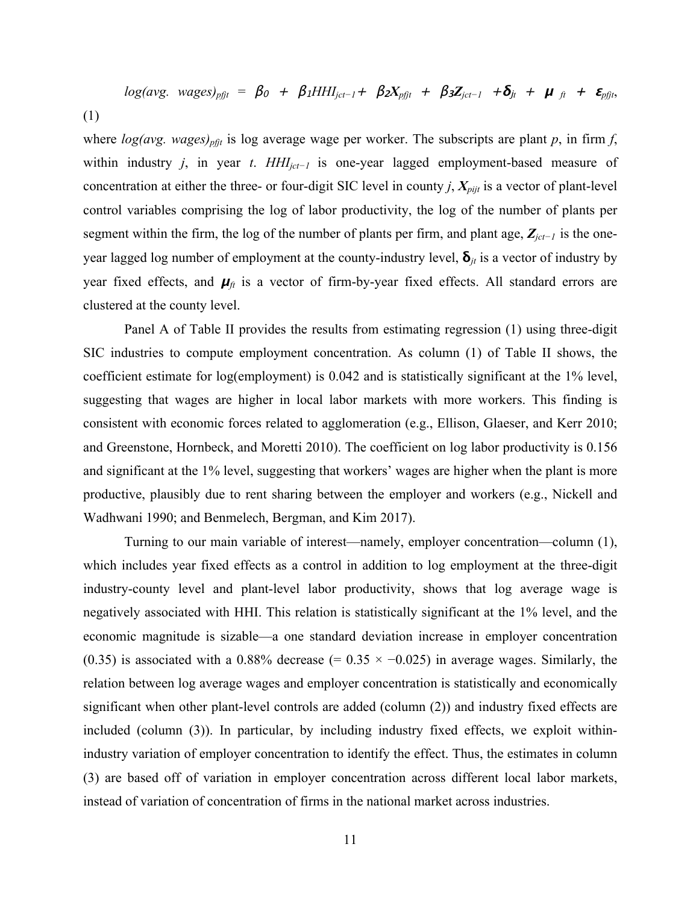$$
log(avg. wages)_{pfit} = \beta_0 + \beta_1 HHI_{jet-1} + \beta_2 X_{pfit} + \beta_3 Z_{jet-1} + \delta_{jt} + \mu_{ft} + \epsilon_{pfit},
$$
\n(1)

where  $log(avg. wages)_{pft}$  is log average wage per worker. The subscripts are plant *p*, in firm *f*, within industry *j*, in year *t*. *HHIjct−1* is one-year lagged employment-based measure of concentration at either the three- or four-digit SIC level in county *j*,  $X_{pijt}$  is a vector of plant-level control variables comprising the log of labor productivity, the log of the number of plants per segment within the firm, the log of the number of plants per firm, and plant age, *Zjct−<sup>1</sup>* is the oneyear lagged log number of employment at the county-industry level,  $\delta_{it}$  is a vector of industry by year fixed effects, and  $\mu_f$  is a vector of firm-by-year fixed effects. All standard errors are clustered at the county level.

Panel A of Table II provides the results from estimating regression (1) using three-digit SIC industries to compute employment concentration. As column (1) of Table II shows, the coefficient estimate for log(employment) is 0.042 and is statistically significant at the 1% level, suggesting that wages are higher in local labor markets with more workers. This finding is consistent with economic forces related to agglomeration (e.g., Ellison, Glaeser, and Kerr 2010; and Greenstone, Hornbeck, and Moretti 2010). The coefficient on log labor productivity is 0.156 and significant at the 1% level, suggesting that workers' wages are higher when the plant is more productive, plausibly due to rent sharing between the employer and workers (e.g., Nickell and Wadhwani 1990; and Benmelech, Bergman, and Kim 2017).

Turning to our main variable of interest—namely, employer concentration—column (1), which includes year fixed effects as a control in addition to log employment at the three-digit industry-county level and plant-level labor productivity, shows that log average wage is negatively associated with HHI. This relation is statistically significant at the 1% level, and the economic magnitude is sizable—a one standard deviation increase in employer concentration (0.35) is associated with a 0.88% decrease (=  $0.35 \times -0.025$ ) in average wages. Similarly, the relation between log average wages and employer concentration is statistically and economically significant when other plant-level controls are added (column (2)) and industry fixed effects are included (column (3)). In particular, by including industry fixed effects, we exploit withinindustry variation of employer concentration to identify the effect. Thus, the estimates in column (3) are based off of variation in employer concentration across different local labor markets, instead of variation of concentration of firms in the national market across industries.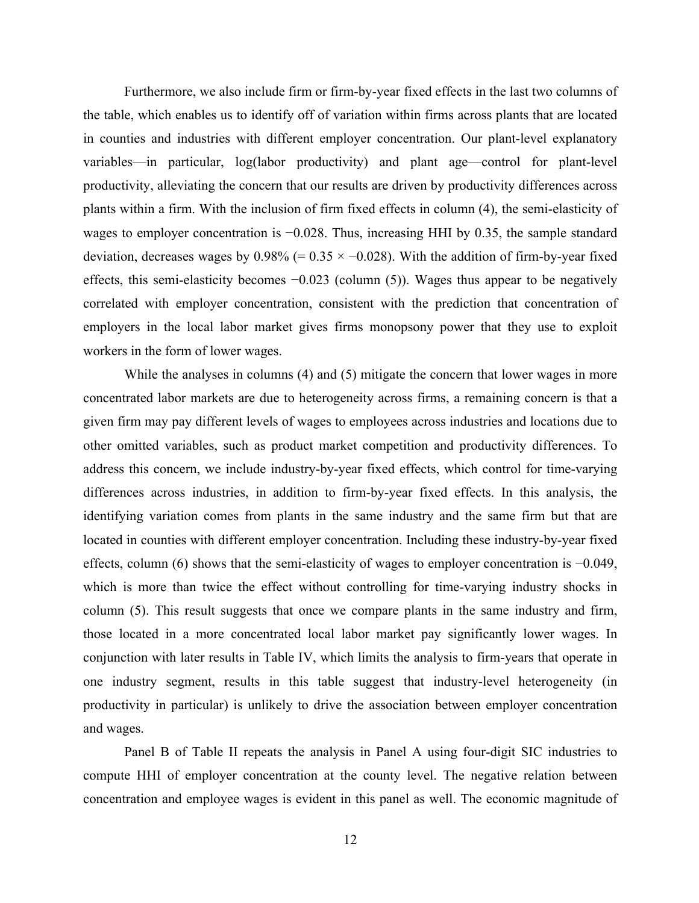Furthermore, we also include firm or firm-by-year fixed effects in the last two columns of the table, which enables us to identify off of variation within firms across plants that are located in counties and industries with different employer concentration. Our plant-level explanatory variables—in particular, log(labor productivity) and plant age—control for plant-level productivity, alleviating the concern that our results are driven by productivity differences across plants within a firm. With the inclusion of firm fixed effects in column (4), the semi-elasticity of wages to employer concentration is −0.028. Thus, increasing HHI by 0.35, the sample standard deviation, decreases wages by  $0.98\%$  (=  $0.35 \times -0.028$ ). With the addition of firm-by-year fixed effects, this semi-elasticity becomes −0.023 (column (5)). Wages thus appear to be negatively correlated with employer concentration, consistent with the prediction that concentration of employers in the local labor market gives firms monopsony power that they use to exploit workers in the form of lower wages.

While the analyses in columns (4) and (5) mitigate the concern that lower wages in more concentrated labor markets are due to heterogeneity across firms, a remaining concern is that a given firm may pay different levels of wages to employees across industries and locations due to other omitted variables, such as product market competition and productivity differences. To address this concern, we include industry-by-year fixed effects, which control for time-varying differences across industries, in addition to firm-by-year fixed effects. In this analysis, the identifying variation comes from plants in the same industry and the same firm but that are located in counties with different employer concentration. Including these industry-by-year fixed effects, column (6) shows that the semi-elasticity of wages to employer concentration is −0.049, which is more than twice the effect without controlling for time-varying industry shocks in column (5). This result suggests that once we compare plants in the same industry and firm, those located in a more concentrated local labor market pay significantly lower wages. In conjunction with later results in Table IV, which limits the analysis to firm-years that operate in one industry segment, results in this table suggest that industry-level heterogeneity (in productivity in particular) is unlikely to drive the association between employer concentration and wages.

Panel B of Table II repeats the analysis in Panel A using four-digit SIC industries to compute HHI of employer concentration at the county level. The negative relation between concentration and employee wages is evident in this panel as well. The economic magnitude of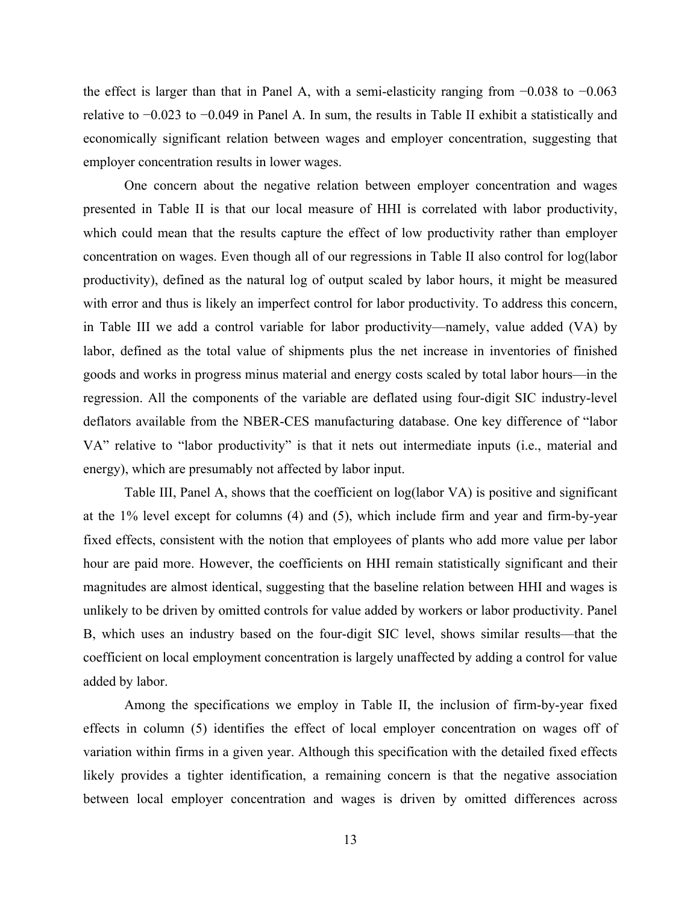the effect is larger than that in Panel A, with a semi-elasticity ranging from −0.038 to −0.063 relative to −0.023 to −0.049 in Panel A. In sum, the results in Table II exhibit a statistically and economically significant relation between wages and employer concentration, suggesting that employer concentration results in lower wages.

One concern about the negative relation between employer concentration and wages presented in Table II is that our local measure of HHI is correlated with labor productivity, which could mean that the results capture the effect of low productivity rather than employer concentration on wages. Even though all of our regressions in Table II also control for log(labor productivity), defined as the natural log of output scaled by labor hours, it might be measured with error and thus is likely an imperfect control for labor productivity. To address this concern, in Table III we add a control variable for labor productivity—namely, value added (VA) by labor, defined as the total value of shipments plus the net increase in inventories of finished goods and works in progress minus material and energy costs scaled by total labor hours—in the regression. All the components of the variable are deflated using four-digit SIC industry-level deflators available from the NBER-CES manufacturing database. One key difference of "labor VA" relative to "labor productivity" is that it nets out intermediate inputs (i.e., material and energy), which are presumably not affected by labor input.

Table III, Panel A, shows that the coefficient on log(labor VA) is positive and significant at the 1% level except for columns (4) and (5), which include firm and year and firm-by-year fixed effects, consistent with the notion that employees of plants who add more value per labor hour are paid more. However, the coefficients on HHI remain statistically significant and their magnitudes are almost identical, suggesting that the baseline relation between HHI and wages is unlikely to be driven by omitted controls for value added by workers or labor productivity. Panel B, which uses an industry based on the four-digit SIC level, shows similar results—that the coefficient on local employment concentration is largely unaffected by adding a control for value added by labor.

Among the specifications we employ in Table II, the inclusion of firm-by-year fixed effects in column (5) identifies the effect of local employer concentration on wages off of variation within firms in a given year. Although this specification with the detailed fixed effects likely provides a tighter identification, a remaining concern is that the negative association between local employer concentration and wages is driven by omitted differences across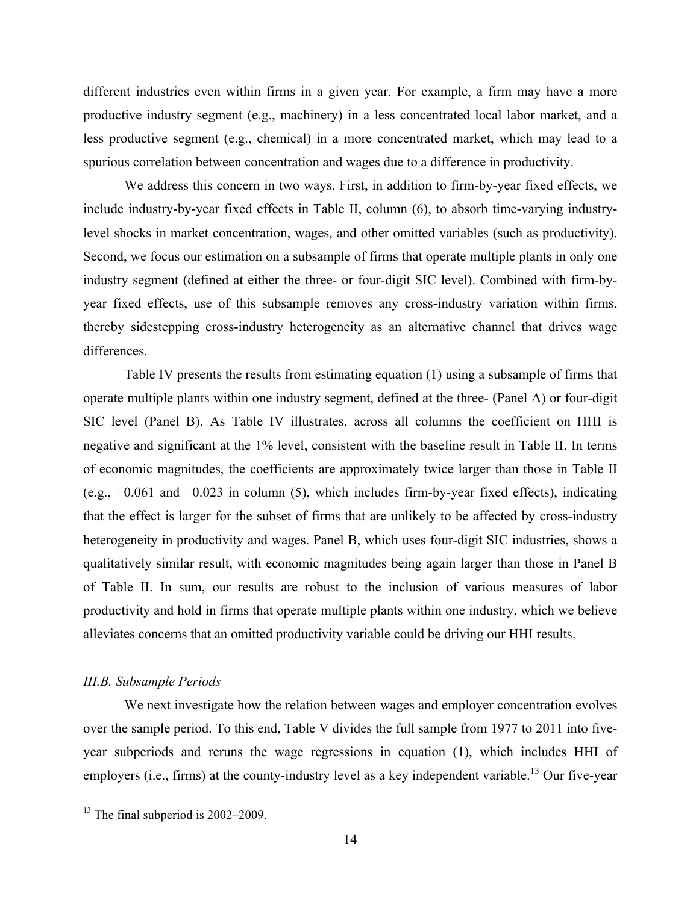different industries even within firms in a given year. For example, a firm may have a more productive industry segment (e.g., machinery) in a less concentrated local labor market, and a less productive segment (e.g., chemical) in a more concentrated market, which may lead to a spurious correlation between concentration and wages due to a difference in productivity.

We address this concern in two ways. First, in addition to firm-by-year fixed effects, we include industry-by-year fixed effects in Table II, column (6), to absorb time-varying industrylevel shocks in market concentration, wages, and other omitted variables (such as productivity). Second, we focus our estimation on a subsample of firms that operate multiple plants in only one industry segment (defined at either the three- or four-digit SIC level). Combined with firm-byyear fixed effects, use of this subsample removes any cross-industry variation within firms, thereby sidestepping cross-industry heterogeneity as an alternative channel that drives wage differences.

Table IV presents the results from estimating equation (1) using a subsample of firms that operate multiple plants within one industry segment, defined at the three- (Panel A) or four-digit SIC level (Panel B). As Table IV illustrates, across all columns the coefficient on HHI is negative and significant at the 1% level, consistent with the baseline result in Table II. In terms of economic magnitudes, the coefficients are approximately twice larger than those in Table II (e.g., −0.061 and −0.023 in column (5), which includes firm-by-year fixed effects), indicating that the effect is larger for the subset of firms that are unlikely to be affected by cross-industry heterogeneity in productivity and wages. Panel B, which uses four-digit SIC industries, shows a qualitatively similar result, with economic magnitudes being again larger than those in Panel B of Table II. In sum, our results are robust to the inclusion of various measures of labor productivity and hold in firms that operate multiple plants within one industry, which we believe alleviates concerns that an omitted productivity variable could be driving our HHI results.

#### *III.B. Subsample Periods*

We next investigate how the relation between wages and employer concentration evolves over the sample period. To this end, Table V divides the full sample from 1977 to 2011 into fiveyear subperiods and reruns the wage regressions in equation (1), which includes HHI of employers (i.e., firms) at the county-industry level as a key independent variable.<sup>13</sup> Our five-year

 $13$  The final subperiod is 2002–2009.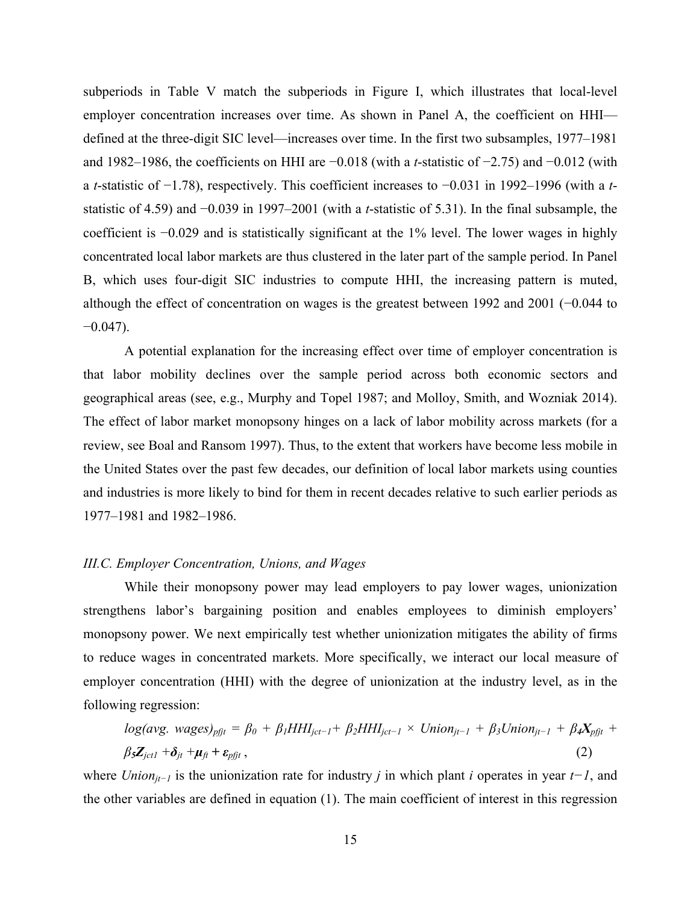subperiods in Table V match the subperiods in Figure I, which illustrates that local-level employer concentration increases over time. As shown in Panel A, the coefficient on HHI defined at the three-digit SIC level—increases over time. In the first two subsamples, 1977–1981 and 1982–1986, the coefficients on HHI are −0.018 (with a *t*-statistic of −2.75) and −0.012 (with a *t*-statistic of −1.78), respectively. This coefficient increases to −0.031 in 1992–1996 (with a *t*statistic of 4.59) and −0.039 in 1997–2001 (with a *t*-statistic of 5.31). In the final subsample, the coefficient is −0.029 and is statistically significant at the 1% level. The lower wages in highly concentrated local labor markets are thus clustered in the later part of the sample period. In Panel B, which uses four-digit SIC industries to compute HHI, the increasing pattern is muted, although the effect of concentration on wages is the greatest between 1992 and 2001 (−0.044 to  $-0.047$ ).

A potential explanation for the increasing effect over time of employer concentration is that labor mobility declines over the sample period across both economic sectors and geographical areas (see, e.g., Murphy and Topel 1987; and Molloy, Smith, and Wozniak 2014). The effect of labor market monopsony hinges on a lack of labor mobility across markets (for a review, see Boal and Ransom 1997). Thus, to the extent that workers have become less mobile in the United States over the past few decades, our definition of local labor markets using counties and industries is more likely to bind for them in recent decades relative to such earlier periods as 1977–1981 and 1982–1986.

#### *III.C. Employer Concentration, Unions, and Wages*

While their monopsony power may lead employers to pay lower wages, unionization strengthens labor's bargaining position and enables employees to diminish employers' monopsony power. We next empirically test whether unionization mitigates the ability of firms to reduce wages in concentrated markets. More specifically, we interact our local measure of employer concentration (HHI) with the degree of unionization at the industry level, as in the following regression:

$$
log(avg. wages)_{pfjt} = \beta_0 + \beta_1 HHI_{jet-1} + \beta_2 HHI_{jet-1} \times Union_{jt-1} + \beta_3 Union_{jt-1} + \beta_4 X_{pfjt} + \beta_5 Z_{jet1} + \delta_{jt} + \mu_{ft} + \varepsilon_{pfjt},
$$
\n(2)

where *Unionjt−<sup>1</sup>* is the unionization rate for industry *j* in which plant *i* operates in year *t−1*, and the other variables are defined in equation (1). The main coefficient of interest in this regression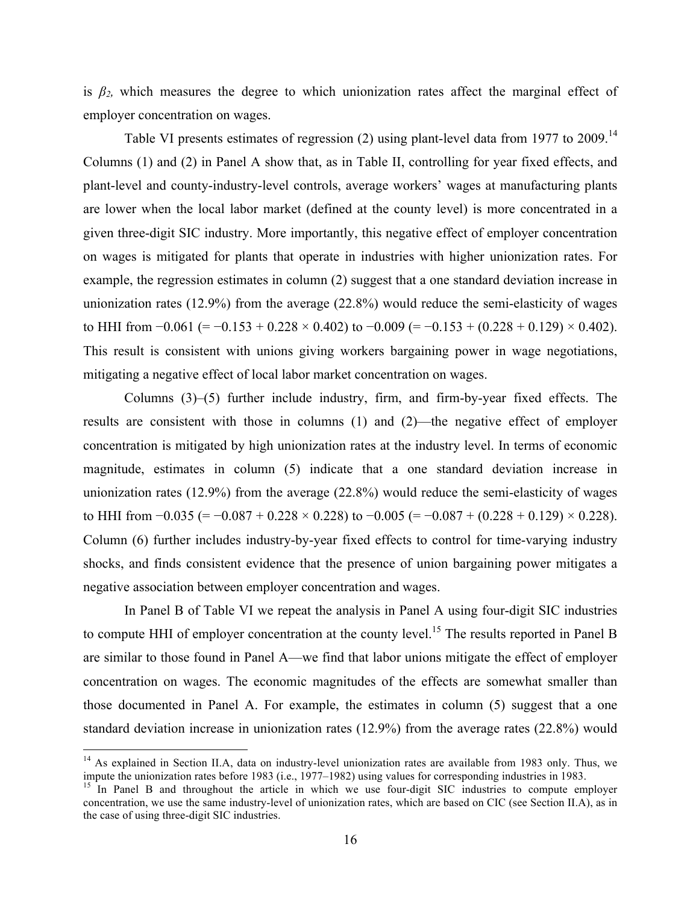is  $\beta_2$ , which measures the degree to which unionization rates affect the marginal effect of employer concentration on wages.

Table VI presents estimates of regression (2) using plant-level data from 1977 to 2009.<sup>14</sup> Columns (1) and (2) in Panel A show that, as in Table II, controlling for year fixed effects, and plant-level and county-industry-level controls, average workers' wages at manufacturing plants are lower when the local labor market (defined at the county level) is more concentrated in a given three-digit SIC industry. More importantly, this negative effect of employer concentration on wages is mitigated for plants that operate in industries with higher unionization rates. For example, the regression estimates in column (2) suggest that a one standard deviation increase in unionization rates (12.9%) from the average (22.8%) would reduce the semi-elasticity of wages to HHI from  $-0.061$  (=  $-0.153 + 0.228 \times 0.402$ ) to  $-0.009$  (=  $-0.153 + (0.228 + 0.129) \times 0.402$ ). This result is consistent with unions giving workers bargaining power in wage negotiations, mitigating a negative effect of local labor market concentration on wages.

Columns (3)–(5) further include industry, firm, and firm-by-year fixed effects. The results are consistent with those in columns (1) and (2)—the negative effect of employer concentration is mitigated by high unionization rates at the industry level. In terms of economic magnitude, estimates in column (5) indicate that a one standard deviation increase in unionization rates (12.9%) from the average (22.8%) would reduce the semi-elasticity of wages to HHI from  $-0.035$  (=  $-0.087 + 0.228 \times 0.228$ ) to  $-0.005$  (=  $-0.087 + (0.228 + 0.129) \times 0.228$ ). Column (6) further includes industry-by-year fixed effects to control for time-varying industry shocks, and finds consistent evidence that the presence of union bargaining power mitigates a negative association between employer concentration and wages.

In Panel B of Table VI we repeat the analysis in Panel A using four-digit SIC industries to compute HHI of employer concentration at the county level.<sup>15</sup> The results reported in Panel B are similar to those found in Panel A—we find that labor unions mitigate the effect of employer concentration on wages. The economic magnitudes of the effects are somewhat smaller than those documented in Panel A. For example, the estimates in column (5) suggest that a one standard deviation increase in unionization rates (12.9%) from the average rates (22.8%) would

<sup>&</sup>lt;sup>14</sup> As explained in Section II.A, data on industry-level unionization rates are available from 1983 only. Thus, we impute the unionization rates before 1983 (i.e., 1977–1982) using values for corresponding industries in

 $\frac{15}{15}$  In Panel B and throughout the article in which we use four-digit SIC industries to compute employer concentration, we use the same industry-level of unionization rates, which are based on CIC (see Section II.A), as in the case of using three-digit SIC industries.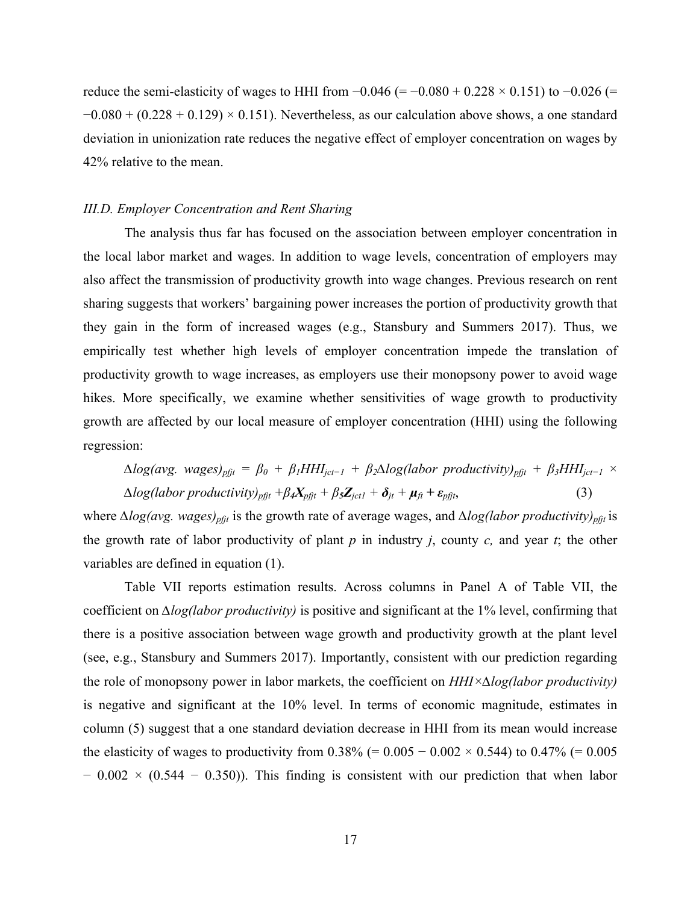reduce the semi-elasticity of wages to HHI from  $-0.046$  (=  $-0.080 + 0.228 \times 0.151$ ) to  $-0.026$  (=  $-0.080 + (0.228 + 0.129) \times 0.151$ . Nevertheless, as our calculation above shows, a one standard deviation in unionization rate reduces the negative effect of employer concentration on wages by 42% relative to the mean.

## *III.D. Employer Concentration and Rent Sharing*

The analysis thus far has focused on the association between employer concentration in the local labor market and wages. In addition to wage levels, concentration of employers may also affect the transmission of productivity growth into wage changes. Previous research on rent sharing suggests that workers' bargaining power increases the portion of productivity growth that they gain in the form of increased wages (e.g., Stansbury and Summers 2017). Thus, we empirically test whether high levels of employer concentration impede the translation of productivity growth to wage increases, as employers use their monopsony power to avoid wage hikes. More specifically, we examine whether sensitivities of wage growth to productivity growth are affected by our local measure of employer concentration (HHI) using the following regression:

$$
\Delta log(avg. wages)_{pfjt} = \beta_0 + \beta_1 HHI_{jct-1} + \beta_2 \Delta log(labor\ productivity)_{pfjt} + \beta_3 HHI_{jct-1} \times \Delta log(labor\ productivity)_{pfjt} + \beta_4 X_{pfjt} + \beta_5 Z_{jct1} + \delta_{jt} + \mu_{ft} + \varepsilon_{pfjt},
$$
\n(3)

where *∆log(avg. wages)<sub>pfit</sub>* is the growth rate of average wages, and *∆log(labor productivity)<sub>pfit</sub>* is the growth rate of labor productivity of plant *p* in industry *j*, county *c,* and year *t*; the other variables are defined in equation (1).

Table VII reports estimation results. Across columns in Panel A of Table VII, the coefficient on *∆log(labor productivity)* is positive and significant at the 1% level, confirming that there is a positive association between wage growth and productivity growth at the plant level (see, e.g., Stansbury and Summers 2017). Importantly, consistent with our prediction regarding the role of monopsony power in labor markets, the coefficient on *HHI×∆log(labor productivity)* is negative and significant at the 10% level. In terms of economic magnitude, estimates in column (5) suggest that a one standard deviation decrease in HHI from its mean would increase the elasticity of wages to productivity from  $0.38\%$  (=  $0.005 - 0.002 \times 0.544$ ) to  $0.47\%$  (= 0.005  $-0.002 \times (0.544 - 0.350)$ . This finding is consistent with our prediction that when labor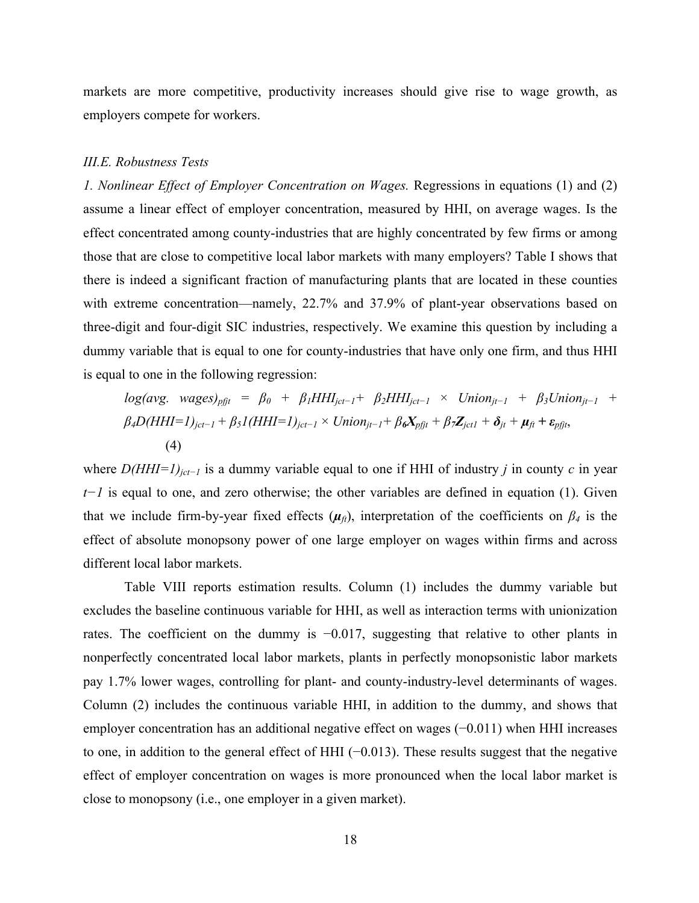markets are more competitive, productivity increases should give rise to wage growth, as employers compete for workers.

#### *III.E. Robustness Tests*

*1. Nonlinear Effect of Employer Concentration on Wages.* Regressions in equations (1) and (2) assume a linear effect of employer concentration, measured by HHI, on average wages. Is the effect concentrated among county-industries that are highly concentrated by few firms or among those that are close to competitive local labor markets with many employers? Table I shows that there is indeed a significant fraction of manufacturing plants that are located in these counties with extreme concentration—namely, 22.7% and 37.9% of plant-year observations based on three-digit and four-digit SIC industries, respectively. We examine this question by including a dummy variable that is equal to one for county-industries that have only one firm, and thus HHI is equal to one in the following regression:

$$
log(avg. wages)_{pft} = \beta_0 + \beta_1 HHI_{jct-1} + \beta_2 HHI_{jct-1} \times Union_{jt-1} + \beta_3 Union_{jt-1} + \beta_4 D(HHI=1)_{jct-1} + \beta_5 I(HHI=1)_{jct-1} \times Union_{jt-1} + \beta_6 X_{pft} + \beta_7 Z_{jct1} + \delta_{jt} + \mu_{ft} + \varepsilon_{pft},
$$
\n(4)

where *D(HHI=1)<sub>jct−1</sub>* is a dummy variable equal to one if HHI of industry *j* in county *c* in year *t*<sup>−</sup>*1* is equal to one, and zero otherwise; the other variables are defined in equation (1). Given that we include firm-by-year fixed effects  $(\mu_{\hat{n}})$ , interpretation of the coefficients on  $\beta_4$  is the effect of absolute monopsony power of one large employer on wages within firms and across different local labor markets.

Table VIII reports estimation results. Column (1) includes the dummy variable but excludes the baseline continuous variable for HHI, as well as interaction terms with unionization rates. The coefficient on the dummy is −0.017, suggesting that relative to other plants in nonperfectly concentrated local labor markets, plants in perfectly monopsonistic labor markets pay 1.7% lower wages, controlling for plant- and county-industry-level determinants of wages. Column (2) includes the continuous variable HHI, in addition to the dummy, and shows that employer concentration has an additional negative effect on wages (−0.011) when HHI increases to one, in addition to the general effect of HHI (−0.013). These results suggest that the negative effect of employer concentration on wages is more pronounced when the local labor market is close to monopsony (i.e., one employer in a given market).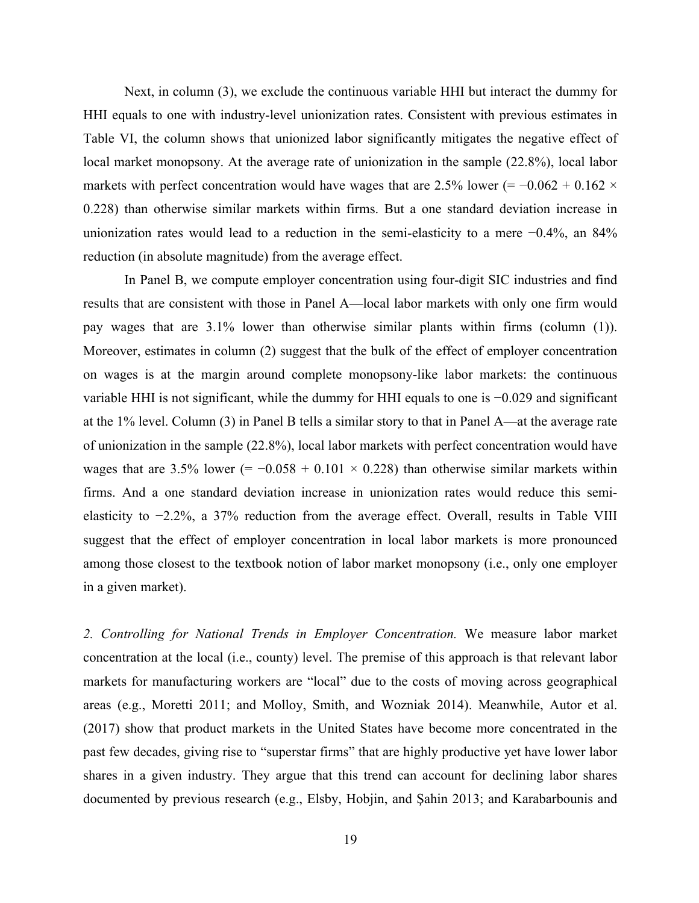Next, in column (3), we exclude the continuous variable HHI but interact the dummy for HHI equals to one with industry-level unionization rates. Consistent with previous estimates in Table VI, the column shows that unionized labor significantly mitigates the negative effect of local market monopsony. At the average rate of unionization in the sample  $(22.8\%)$ , local labor markets with perfect concentration would have wages that are 2.5% lower (=  $-0.062 + 0.162 \times$ 0.228) than otherwise similar markets within firms. But a one standard deviation increase in unionization rates would lead to a reduction in the semi-elasticity to a mere −0.4%, an 84% reduction (in absolute magnitude) from the average effect.

In Panel B, we compute employer concentration using four-digit SIC industries and find results that are consistent with those in Panel A—local labor markets with only one firm would pay wages that are 3.1% lower than otherwise similar plants within firms (column (1)). Moreover, estimates in column (2) suggest that the bulk of the effect of employer concentration on wages is at the margin around complete monopsony-like labor markets: the continuous variable HHI is not significant, while the dummy for HHI equals to one is −0.029 and significant at the 1% level. Column (3) in Panel B tells a similar story to that in Panel A—at the average rate of unionization in the sample (22.8%), local labor markets with perfect concentration would have wages that are 3.5% lower (=  $-0.058 + 0.101 \times 0.228$ ) than otherwise similar markets within firms. And a one standard deviation increase in unionization rates would reduce this semielasticity to −2.2%, a 37% reduction from the average effect. Overall, results in Table VIII suggest that the effect of employer concentration in local labor markets is more pronounced among those closest to the textbook notion of labor market monopsony (i.e., only one employer in a given market).

*2. Controlling for National Trends in Employer Concentration.* We measure labor market concentration at the local (i.e., county) level. The premise of this approach is that relevant labor markets for manufacturing workers are "local" due to the costs of moving across geographical areas (e.g., Moretti 2011; and Molloy, Smith, and Wozniak 2014). Meanwhile, Autor et al. (2017) show that product markets in the United States have become more concentrated in the past few decades, giving rise to "superstar firms" that are highly productive yet have lower labor shares in a given industry. They argue that this trend can account for declining labor shares documented by previous research (e.g., Elsby, Hobjin, and Şahin 2013; and Karabarbounis and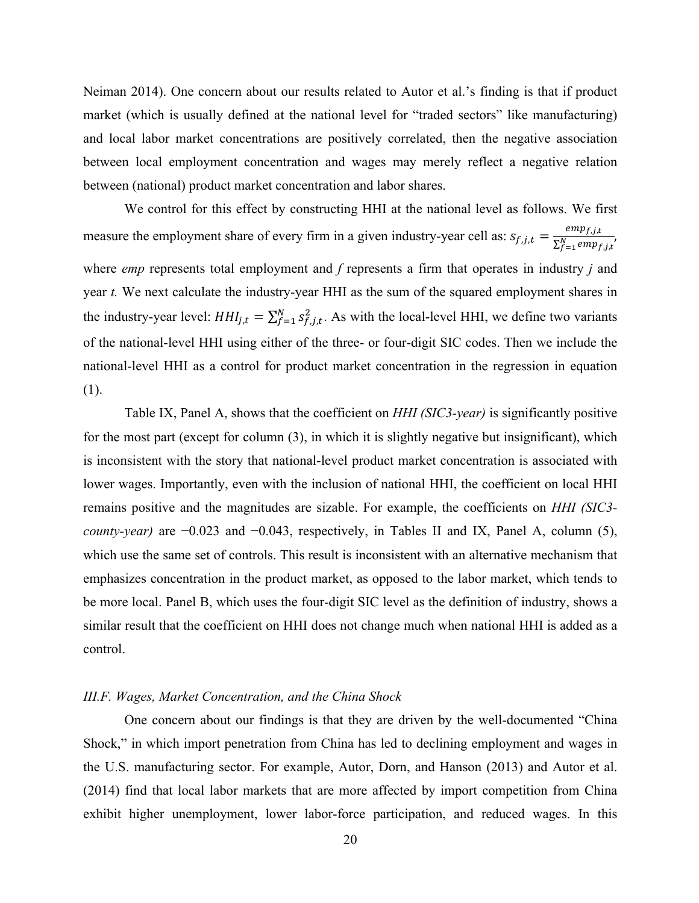Neiman 2014). One concern about our results related to Autor et al.'s finding is that if product market (which is usually defined at the national level for "traded sectors" like manufacturing) and local labor market concentrations are positively correlated, then the negative association between local employment concentration and wages may merely reflect a negative relation between (national) product market concentration and labor shares.

We control for this effect by constructing HHI at the national level as follows. We first measure the employment share of every firm in a given industry-year cell as:  $s_{f,j,t} = \frac{emp_{f,j,t}}{\sum_{f=1}^{N}emp_{f,j,t}}$ where *emp* represents total employment and *f* represents a firm that operates in industry *j* and year *t.* We next calculate the industry-year HHI as the sum of the squared employment shares in the industry-year level:  $HH_{j,t} = \sum_{f=1}^{N} s_{f,j,t}^2$ . As with the local-level HHI, we define two variants of the national-level HHI using either of the three- or four-digit SIC codes. Then we include the national-level HHI as a control for product market concentration in the regression in equation (1).

Table IX, Panel A, shows that the coefficient on *HHI (SIC3-year)* is significantly positive for the most part (except for column (3), in which it is slightly negative but insignificant), which is inconsistent with the story that national-level product market concentration is associated with lower wages. Importantly, even with the inclusion of national HHI, the coefficient on local HHI remains positive and the magnitudes are sizable. For example, the coefficients on *HHI (SIC3 county-year)* are −0.023 and −0.043, respectively, in Tables II and IX, Panel A, column (5), which use the same set of controls. This result is inconsistent with an alternative mechanism that emphasizes concentration in the product market, as opposed to the labor market, which tends to be more local. Panel B, which uses the four-digit SIC level as the definition of industry, shows a similar result that the coefficient on HHI does not change much when national HHI is added as a control.

#### *III.F. Wages, Market Concentration, and the China Shock*

One concern about our findings is that they are driven by the well-documented "China Shock," in which import penetration from China has led to declining employment and wages in the U.S. manufacturing sector. For example, Autor, Dorn, and Hanson (2013) and Autor et al. (2014) find that local labor markets that are more affected by import competition from China exhibit higher unemployment, lower labor-force participation, and reduced wages. In this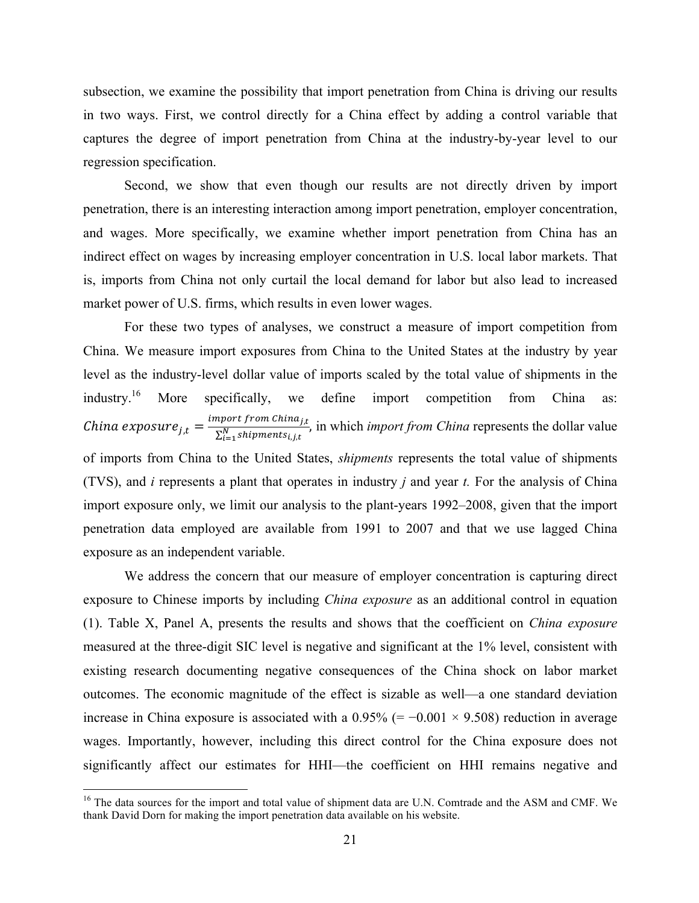subsection, we examine the possibility that import penetration from China is driving our results in two ways. First, we control directly for a China effect by adding a control variable that captures the degree of import penetration from China at the industry-by-year level to our regression specification.

Second, we show that even though our results are not directly driven by import penetration, there is an interesting interaction among import penetration, employer concentration, and wages. More specifically, we examine whether import penetration from China has an indirect effect on wages by increasing employer concentration in U.S. local labor markets. That is, imports from China not only curtail the local demand for labor but also lead to increased market power of U.S. firms, which results in even lower wages.

For these two types of analyses, we construct a measure of import competition from China. We measure import exposures from China to the United States at the industry by year level as the industry-level dollar value of imports scaled by the total value of shipments in the industry.<sup>16</sup> More specifically, we define import competition from China as: *China exposure*  $j_{,t} = \frac{import from China_{j,t}}{\sum_{i=1}^{N} stipments_{i,j,t}}$ , in which *import from China* represents the dollar value of imports from China to the United States, *shipments* represents the total value of shipments (TVS), and *i* represents a plant that operates in industry *j* and year *t.* For the analysis of China import exposure only, we limit our analysis to the plant-years 1992–2008, given that the import penetration data employed are available from 1991 to 2007 and that we use lagged China exposure as an independent variable.

We address the concern that our measure of employer concentration is capturing direct exposure to Chinese imports by including *China exposure* as an additional control in equation (1). Table X, Panel A, presents the results and shows that the coefficient on *China exposure* measured at the three-digit SIC level is negative and significant at the 1% level, consistent with existing research documenting negative consequences of the China shock on labor market outcomes. The economic magnitude of the effect is sizable as well—a one standard deviation increase in China exposure is associated with a  $0.95\%$  (=  $-0.001 \times 9.508$ ) reduction in average wages. Importantly, however, including this direct control for the China exposure does not significantly affect our estimates for HHI—the coefficient on HHI remains negative and

<sup>&</sup>lt;sup>16</sup> The data sources for the import and total value of shipment data are U.N. Comtrade and the ASM and CMF. We thank David Dorn for making the import penetration data available on his website.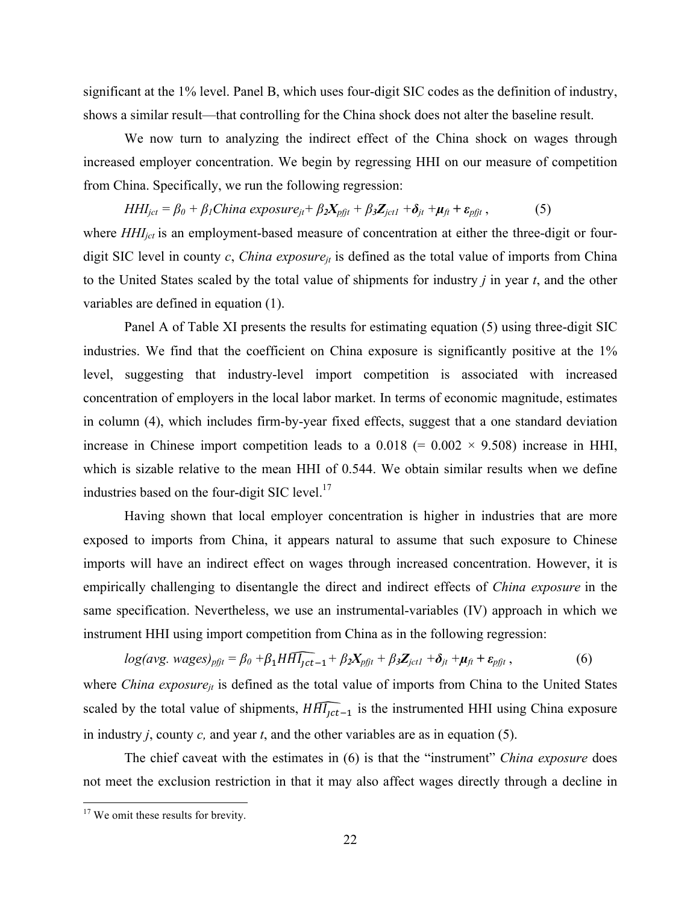significant at the 1% level. Panel B, which uses four-digit SIC codes as the definition of industry, shows a similar result—that controlling for the China shock does not alter the baseline result.

We now turn to analyzing the indirect effect of the China shock on wages through increased employer concentration. We begin by regressing HHI on our measure of competition from China. Specifically, we run the following regression:

 $HHI_{\text{jet}} = \beta_0 + \beta_1 \text{China exposure}_{\text{it}} + \beta_2 X_{\text{pfit}} + \beta_3 Z_{\text{ictl}} + \delta_{\text{it}} + \mu_{\text{ft}} + \varepsilon_{\text{pfit}}$ , (5)

where *HHI<sub>jct</sub>* is an employment-based measure of concentration at either the three-digit or fourdigit SIC level in county *c*, *China exposure<sub>it</sub>* is defined as the total value of imports from China to the United States scaled by the total value of shipments for industry *j* in year *t*, and the other variables are defined in equation (1).

Panel A of Table XI presents the results for estimating equation (5) using three-digit SIC industries. We find that the coefficient on China exposure is significantly positive at the 1% level, suggesting that industry-level import competition is associated with increased concentration of employers in the local labor market. In terms of economic magnitude, estimates in column (4), which includes firm-by-year fixed effects, suggest that a one standard deviation increase in Chinese import competition leads to a  $0.018$  (=  $0.002 \times 9.508$ ) increase in HHI, which is sizable relative to the mean HHI of 0.544. We obtain similar results when we define industries based on the four-digit SIC level.<sup>17</sup>

Having shown that local employer concentration is higher in industries that are more exposed to imports from China, it appears natural to assume that such exposure to Chinese imports will have an indirect effect on wages through increased concentration. However, it is empirically challenging to disentangle the direct and indirect effects of *China exposure* in the same specification. Nevertheless, we use an instrumental-variables (IV) approach in which we instrument HHI using import competition from China as in the following regression:

 $log(avg. wages)_{pfit} = \beta_0 + \beta_1 H \widehat{Hl_{1ct-1}} + \beta_2 X_{pfit} + \beta_3 Z_{jct1} + \delta_{jt} + \mu_{ft} + \varepsilon_{pfit}$ , (6) where *China exposure<sub>it</sub>* is defined as the total value of imports from China to the United States scaled by the total value of shipments,  $\widehat{H H_{1} t_{t-1}}$  is the instrumented HHI using China exposure in industry *j*, county *c,* and year *t*, and the other variables are as in equation (5).

The chief caveat with the estimates in (6) is that the "instrument" *China exposure* does not meet the exclusion restriction in that it may also affect wages directly through a decline in

<sup>&</sup>lt;sup>17</sup> We omit these results for brevity.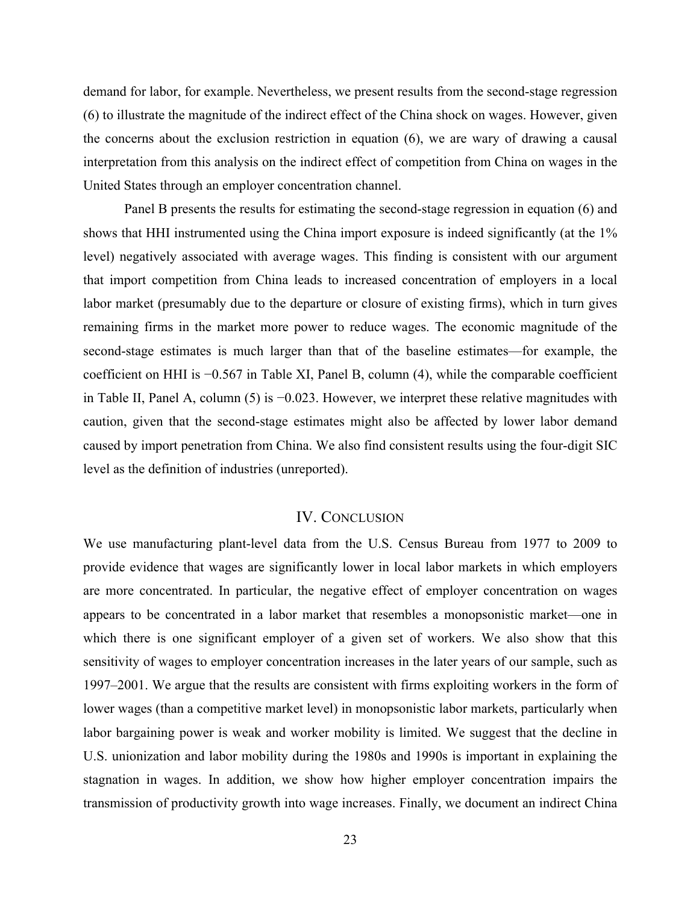demand for labor, for example. Nevertheless, we present results from the second-stage regression (6) to illustrate the magnitude of the indirect effect of the China shock on wages. However, given the concerns about the exclusion restriction in equation (6), we are wary of drawing a causal interpretation from this analysis on the indirect effect of competition from China on wages in the United States through an employer concentration channel.

Panel B presents the results for estimating the second-stage regression in equation (6) and shows that HHI instrumented using the China import exposure is indeed significantly (at the 1% level) negatively associated with average wages. This finding is consistent with our argument that import competition from China leads to increased concentration of employers in a local labor market (presumably due to the departure or closure of existing firms), which in turn gives remaining firms in the market more power to reduce wages. The economic magnitude of the second-stage estimates is much larger than that of the baseline estimates—for example, the coefficient on HHI is −0.567 in Table XI, Panel B, column (4), while the comparable coefficient in Table II, Panel A, column (5) is −0.023. However, we interpret these relative magnitudes with caution, given that the second-stage estimates might also be affected by lower labor demand caused by import penetration from China. We also find consistent results using the four-digit SIC level as the definition of industries (unreported).

# IV. CONCLUSION

We use manufacturing plant-level data from the U.S. Census Bureau from 1977 to 2009 to provide evidence that wages are significantly lower in local labor markets in which employers are more concentrated. In particular, the negative effect of employer concentration on wages appears to be concentrated in a labor market that resembles a monopsonistic market—one in which there is one significant employer of a given set of workers. We also show that this sensitivity of wages to employer concentration increases in the later years of our sample, such as 1997–2001. We argue that the results are consistent with firms exploiting workers in the form of lower wages (than a competitive market level) in monopsonistic labor markets, particularly when labor bargaining power is weak and worker mobility is limited. We suggest that the decline in U.S. unionization and labor mobility during the 1980s and 1990s is important in explaining the stagnation in wages. In addition, we show how higher employer concentration impairs the transmission of productivity growth into wage increases. Finally, we document an indirect China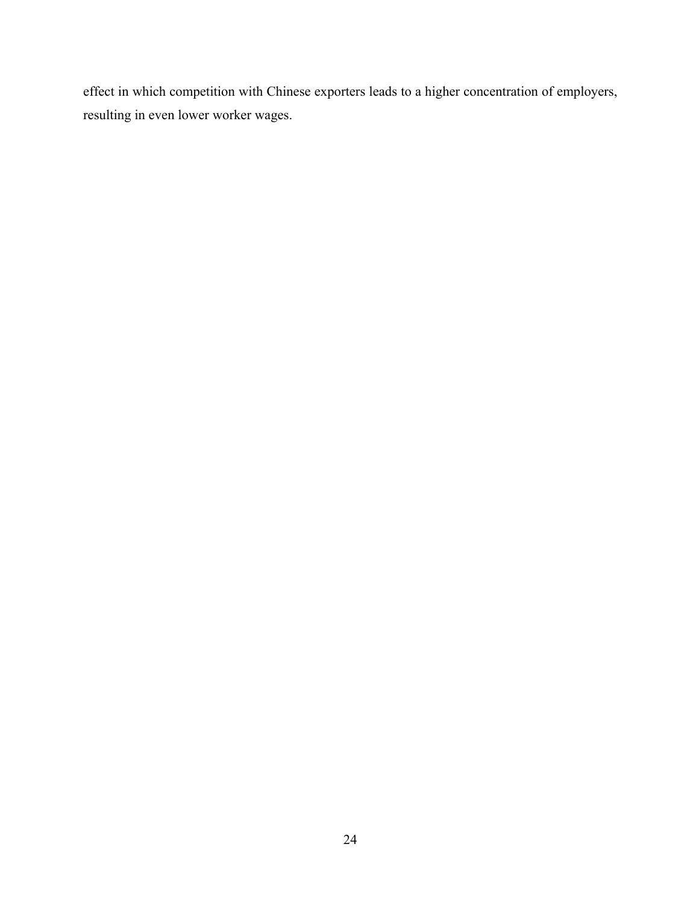effect in which competition with Chinese exporters leads to a higher concentration of employers, resulting in even lower worker wages.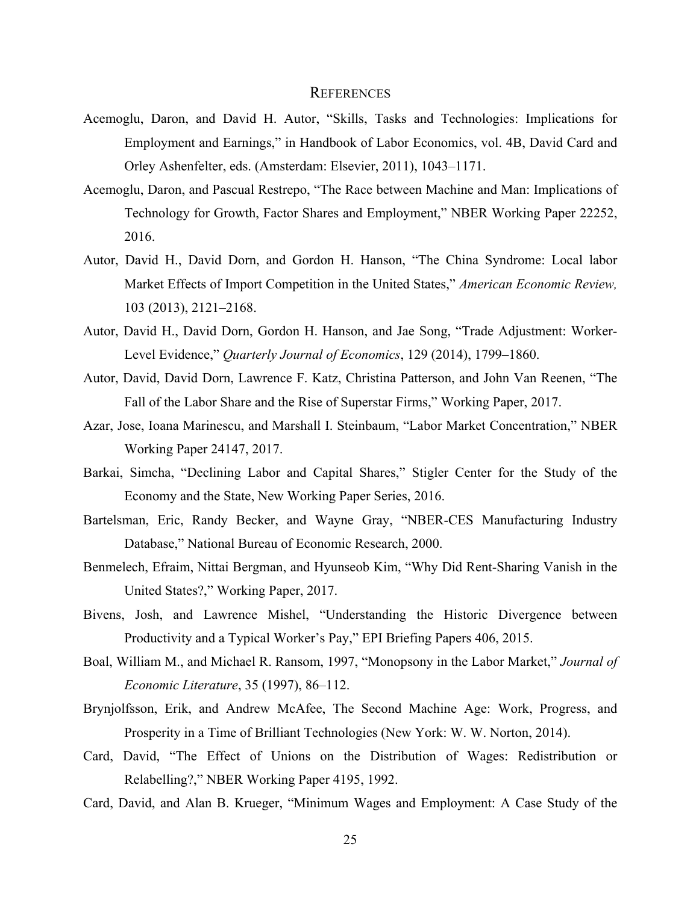#### **REFERENCES**

- Acemoglu, Daron, and David H. Autor, "Skills, Tasks and Technologies: Implications for Employment and Earnings," in Handbook of Labor Economics, vol. 4B, David Card and Orley Ashenfelter, eds. (Amsterdam: Elsevier, 2011), 1043–1171.
- Acemoglu, Daron, and Pascual Restrepo, "The Race between Machine and Man: Implications of Technology for Growth, Factor Shares and Employment," NBER Working Paper 22252, 2016.
- Autor, David H., David Dorn, and Gordon H. Hanson, "The China Syndrome: Local labor Market Effects of Import Competition in the United States," *American Economic Review,* 103 (2013), 2121–2168.
- Autor, David H., David Dorn, Gordon H. Hanson, and Jae Song, "Trade Adjustment: Worker-Level Evidence," *Quarterly Journal of Economics*, 129 (2014), 1799–1860.
- Autor, David, David Dorn, Lawrence F. Katz, Christina Patterson, and John Van Reenen, "The Fall of the Labor Share and the Rise of Superstar Firms," Working Paper, 2017.
- Azar, Jose, Ioana Marinescu, and Marshall I. Steinbaum, "Labor Market Concentration," NBER Working Paper 24147, 2017.
- Barkai, Simcha, "Declining Labor and Capital Shares," Stigler Center for the Study of the Economy and the State, New Working Paper Series, 2016.
- Bartelsman, Eric, Randy Becker, and Wayne Gray, "NBER-CES Manufacturing Industry Database," National Bureau of Economic Research, 2000.
- Benmelech, Efraim, Nittai Bergman, and Hyunseob Kim, "Why Did Rent-Sharing Vanish in the United States?," Working Paper, 2017.
- Bivens, Josh, and Lawrence Mishel, "Understanding the Historic Divergence between Productivity and a Typical Worker's Pay," EPI Briefing Papers 406, 2015.
- Boal, William M., and Michael R. Ransom, 1997, "Monopsony in the Labor Market," *Journal of Economic Literature*, 35 (1997), 86–112.
- Brynjolfsson, Erik, and Andrew McAfee, The Second Machine Age: Work, Progress, and Prosperity in a Time of Brilliant Technologies (New York: W. W. Norton, 2014).
- Card, David, "The Effect of Unions on the Distribution of Wages: Redistribution or Relabelling?," NBER Working Paper 4195, 1992.
- Card, David, and Alan B. Krueger, "Minimum Wages and Employment: A Case Study of the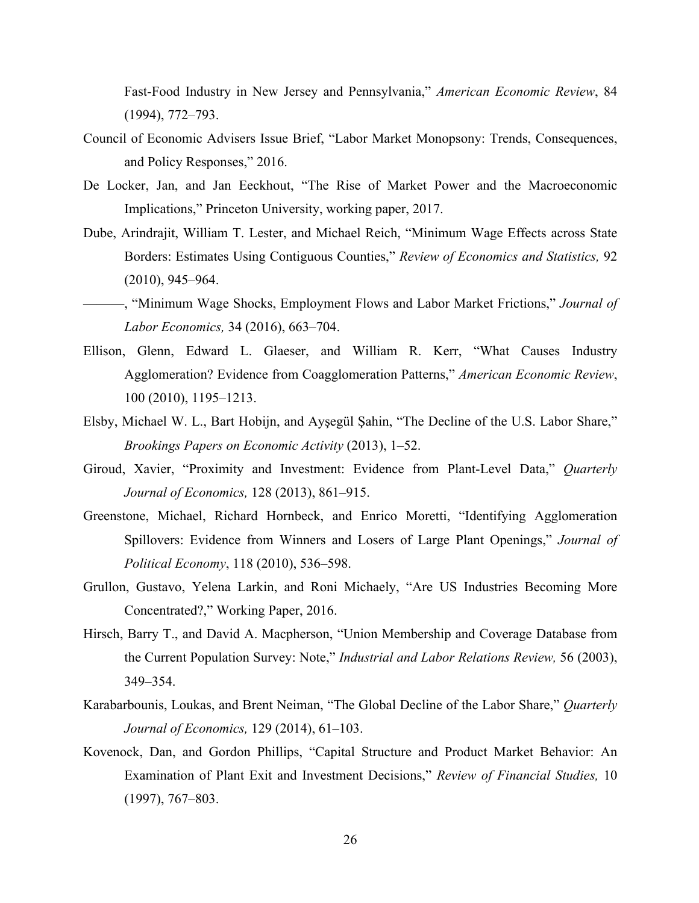Fast-Food Industry in New Jersey and Pennsylvania," *American Economic Review*, 84 (1994), 772–793.

- Council of Economic Advisers Issue Brief, "Labor Market Monopsony: Trends, Consequences, and Policy Responses," 2016.
- De Locker, Jan, and Jan Eeckhout, "The Rise of Market Power and the Macroeconomic Implications," Princeton University, working paper, 2017.
- Dube, Arindrajit, William T. Lester, and Michael Reich, "Minimum Wage Effects across State Borders: Estimates Using Contiguous Counties," *Review of Economics and Statistics,* 92 (2010), 945–964.
- ———, "Minimum Wage Shocks, Employment Flows and Labor Market Frictions," *Journal of Labor Economics,* 34 (2016), 663–704.
- Ellison, Glenn, Edward L. Glaeser, and William R. Kerr, "What Causes Industry Agglomeration? Evidence from Coagglomeration Patterns," *American Economic Review*, 100 (2010), 1195–1213.
- Elsby, Michael W. L., Bart Hobijn, and Ayşegül Şahin, "The Decline of the U.S. Labor Share," *Brookings Papers on Economic Activity* (2013), 1–52.
- Giroud, Xavier, "Proximity and Investment: Evidence from Plant-Level Data," *Quarterly Journal of Economics,* 128 (2013), 861–915.
- Greenstone, Michael, Richard Hornbeck, and Enrico Moretti, "Identifying Agglomeration Spillovers: Evidence from Winners and Losers of Large Plant Openings," *Journal of Political Economy*, 118 (2010), 536–598.
- Grullon, Gustavo, Yelena Larkin, and Roni Michaely, "Are US Industries Becoming More Concentrated?," Working Paper, 2016.
- Hirsch, Barry T., and David A. Macpherson, "Union Membership and Coverage Database from the Current Population Survey: Note," *Industrial and Labor Relations Review,* 56 (2003), 349–354.
- Karabarbounis, Loukas, and Brent Neiman, "The Global Decline of the Labor Share," *Quarterly Journal of Economics,* 129 (2014), 61–103.
- Kovenock, Dan, and Gordon Phillips, "Capital Structure and Product Market Behavior: An Examination of Plant Exit and Investment Decisions," *Review of Financial Studies,* 10 (1997), 767–803.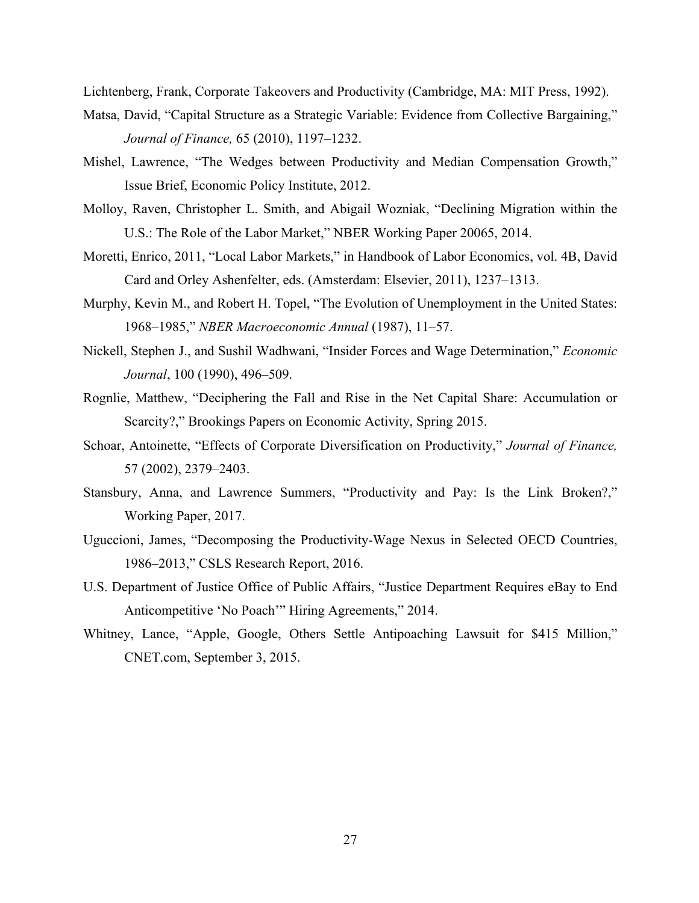Lichtenberg, Frank, Corporate Takeovers and Productivity (Cambridge, MA: MIT Press, 1992).

- Matsa, David, "Capital Structure as a Strategic Variable: Evidence from Collective Bargaining," *Journal of Finance,* 65 (2010), 1197–1232.
- Mishel, Lawrence, "The Wedges between Productivity and Median Compensation Growth," Issue Brief, Economic Policy Institute, 2012.
- Molloy, Raven, Christopher L. Smith, and Abigail Wozniak, "Declining Migration within the U.S.: The Role of the Labor Market," NBER Working Paper 20065, 2014.
- Moretti, Enrico, 2011, "Local Labor Markets," in Handbook of Labor Economics, vol. 4B, David Card and Orley Ashenfelter, eds. (Amsterdam: Elsevier, 2011), 1237–1313.
- Murphy, Kevin M., and Robert H. Topel, "The Evolution of Unemployment in the United States: 1968–1985," *NBER Macroeconomic Annual* (1987), 11–57.
- Nickell, Stephen J., and Sushil Wadhwani, "Insider Forces and Wage Determination," *Economic Journal*, 100 (1990), 496–509.
- Rognlie, Matthew, "Deciphering the Fall and Rise in the Net Capital Share: Accumulation or Scarcity?," Brookings Papers on Economic Activity, Spring 2015.
- Schoar, Antoinette, "Effects of Corporate Diversification on Productivity," *Journal of Finance,* 57 (2002), 2379–2403.
- Stansbury, Anna, and Lawrence Summers, "Productivity and Pay: Is the Link Broken?," Working Paper, 2017.
- Uguccioni, James, "Decomposing the Productivity-Wage Nexus in Selected OECD Countries, 1986–2013," CSLS Research Report, 2016.
- U.S. Department of Justice Office of Public Affairs, "Justice Department Requires eBay to End Anticompetitive 'No Poach'" Hiring Agreements," 2014.
- Whitney, Lance, "Apple, Google, Others Settle Antipoaching Lawsuit for \$415 Million," CNET.com, September 3, 2015.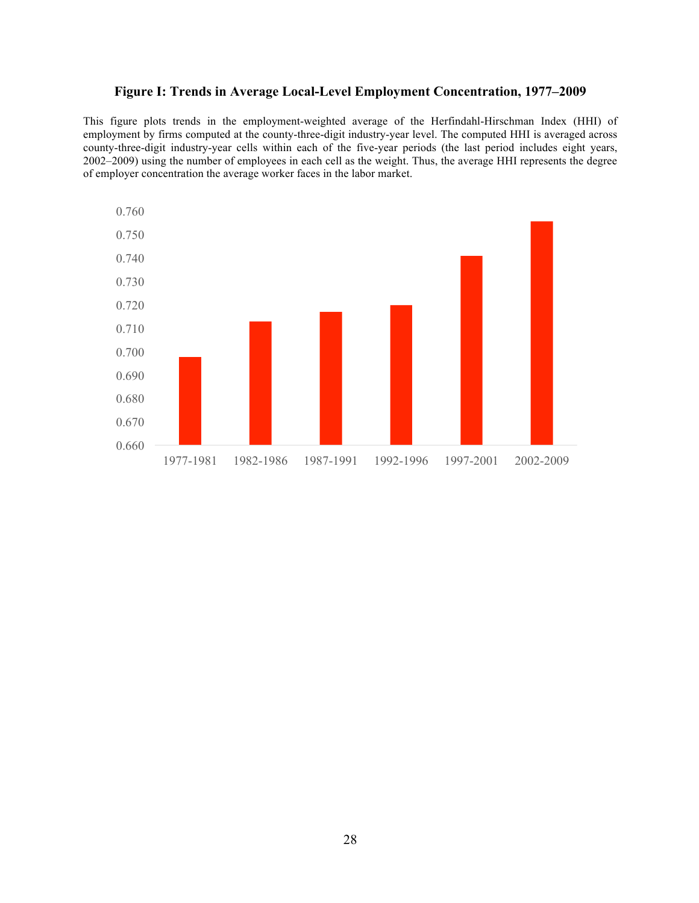# **Figure I: Trends in Average Local-Level Employment Concentration, 1977–2009**

This figure plots trends in the employment-weighted average of the Herfindahl-Hirschman Index (HHI) of employment by firms computed at the county-three-digit industry-year level. The computed HHI is averaged across county-three-digit industry-year cells within each of the five-year periods (the last period includes eight years, 2002–2009) using the number of employees in each cell as the weight. Thus, the average HHI represents the degree of employer concentration the average worker faces in the labor market.

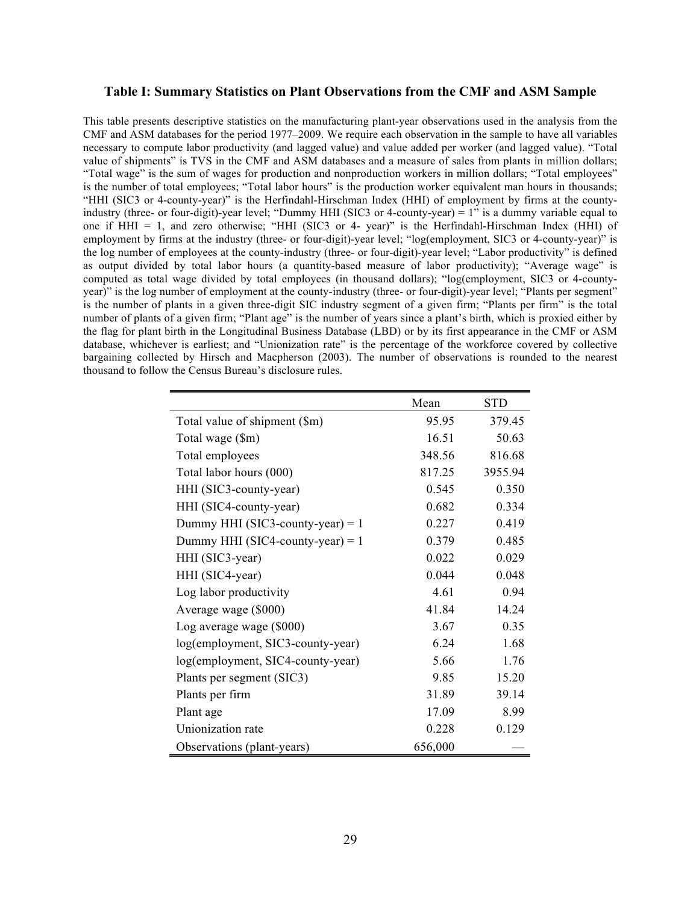#### **Table I: Summary Statistics on Plant Observations from the CMF and ASM Sample**

This table presents descriptive statistics on the manufacturing plant-year observations used in the analysis from the CMF and ASM databases for the period 1977–2009. We require each observation in the sample to have all variables necessary to compute labor productivity (and lagged value) and value added per worker (and lagged value). "Total value of shipments" is TVS in the CMF and ASM databases and a measure of sales from plants in million dollars; "Total wage" is the sum of wages for production and nonproduction workers in million dollars; "Total employees" is the number of total employees; "Total labor hours" is the production worker equivalent man hours in thousands; "HHI (SIC3 or 4-county-year)" is the Herfindahl-Hirschman Index (HHI) of employment by firms at the countyindustry (three- or four-digit)-year level; "Dummy HHI (SIC3 or 4-county-year) = 1" is a dummy variable equal to one if HHI = 1, and zero otherwise; "HHI (SIC3 or 4- year)" is the Herfindahl-Hirschman Index (HHI) of employment by firms at the industry (three- or four-digit)-year level; "log(employment, SIC3 or 4-county-year)" is the log number of employees at the county-industry (three- or four-digit)-year level; "Labor productivity" is defined as output divided by total labor hours (a quantity-based measure of labor productivity); "Average wage" is computed as total wage divided by total employees (in thousand dollars); "log(employment, SIC3 or 4-countyyear)" is the log number of employment at the county-industry (three- or four-digit)-year level; "Plants per segment" is the number of plants in a given three-digit SIC industry segment of a given firm; "Plants per firm" is the total number of plants of a given firm; "Plant age" is the number of years since a plant's birth, which is proxied either by the flag for plant birth in the Longitudinal Business Database (LBD) or by its first appearance in the CMF or ASM database, whichever is earliest; and "Unionization rate" is the percentage of the workforce covered by collective bargaining collected by Hirsch and Macpherson (2003). The number of observations is rounded to the nearest thousand to follow the Census Bureau's disclosure rules.

|                                    | Mean    | <b>STD</b> |
|------------------------------------|---------|------------|
| Total value of shipment (\$m)      | 95.95   | 379.45     |
| Total wage (\$m)                   | 16.51   | 50.63      |
| Total employees                    | 348.56  | 816.68     |
| Total labor hours (000)            | 817.25  | 3955.94    |
| HHI (SIC3-county-year)             | 0.545   | 0.350      |
| HHI (SIC4-county-year)             | 0.682   | 0.334      |
| Dummy HHI (SIC3-county-year) = $1$ | 0.227   | 0.419      |
| Dummy HHI (SIC4-county-year) = $1$ | 0.379   | 0.485      |
| HHI (SIC3-year)                    | 0.022   | 0.029      |
| HHI (SIC4-year)                    | 0.044   | 0.048      |
| Log labor productivity             | 4.61    | 0.94       |
| Average wage (\$000)               | 41.84   | 14.24      |
| Log average wage (\$000)           | 3.67    | 0.35       |
| log(employment, SIC3-county-year)  | 6.24    | 1.68       |
| log(employment, SIC4-county-year)  | 5.66    | 1.76       |
| Plants per segment (SIC3)          | 9.85    | 15.20      |
| Plants per firm                    | 31.89   | 39.14      |
| Plant age                          | 17.09   | 8.99       |
| Unionization rate                  | 0.228   | 0.129      |
| Observations (plant-years)         | 656,000 |            |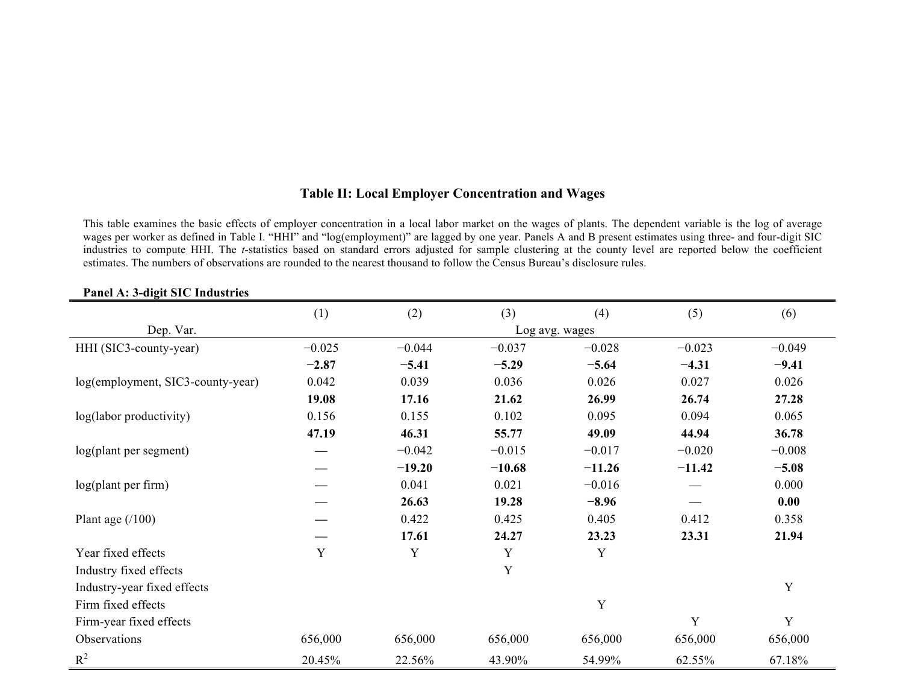# **Table II: Local Employer Concentration and Wages**

This table examines the basic effects of employer concentration in a local labor market on the wages of plants. The dependent variable is the log of average wages per worker as defined in Table I. "HHI" and "log(employment)" are lagged by one year. Panels A and B present estimates using three- and four-digit SIC industries to compute HHI. The *t*-statistics based on standard errors adjusted for sample clustering at the county level are reported below the coefficient estimates. The numbers of observations are rounded to the nearest thousand to follow the Census Bureau's disclosure rules.

|                                   | (1)      | (2)      | (3)      | (4)            | (5)      | (6)      |
|-----------------------------------|----------|----------|----------|----------------|----------|----------|
| Dep. Var.                         |          |          |          | Log avg. wages |          |          |
| HHI (SIC3-county-year)            | $-0.025$ | $-0.044$ | $-0.037$ | $-0.028$       | $-0.023$ | $-0.049$ |
|                                   | $-2.87$  | $-5.41$  | $-5.29$  | $-5.64$        | $-4.31$  | $-9.41$  |
| log(employment, SIC3-county-year) | 0.042    | 0.039    | 0.036    | 0.026          | 0.027    | 0.026    |
|                                   | 19.08    | 17.16    | 21.62    | 26.99          | 26.74    | 27.28    |
| log(labor productivity)           | 0.156    | 0.155    | 0.102    | 0.095          | 0.094    | 0.065    |
|                                   | 47.19    | 46.31    | 55.77    | 49.09          | 44.94    | 36.78    |
| log(plant per segment)            |          | $-0.042$ | $-0.015$ | $-0.017$       | $-0.020$ | $-0.008$ |
|                                   |          | $-19.20$ | $-10.68$ | $-11.26$       | $-11.42$ | $-5.08$  |
| log(plant per firm)               |          | 0.041    | 0.021    | $-0.016$       |          | 0.000    |
|                                   |          | 26.63    | 19.28    | $-8.96$        |          | 0.00     |
| Plant age $(100)$                 |          | 0.422    | 0.425    | 0.405          | 0.412    | 0.358    |
|                                   |          | 17.61    | 24.27    | 23.23          | 23.31    | 21.94    |
| Year fixed effects                | Y        | Y        | Y        | Y              |          |          |
| Industry fixed effects            |          |          | Y        |                |          |          |
| Industry-year fixed effects       |          |          |          |                |          | Y        |
| Firm fixed effects                |          |          |          | Y              |          |          |
| Firm-year fixed effects           |          |          |          |                | Y        | Y        |
| Observations                      | 656,000  | 656,000  | 656,000  | 656,000        | 656,000  | 656,000  |
| $R^2$                             | 20.45%   | 22.56%   | 43.90%   | 54.99%         | 62.55%   | 67.18%   |

# **Panel A: 3-digit SIC Industries**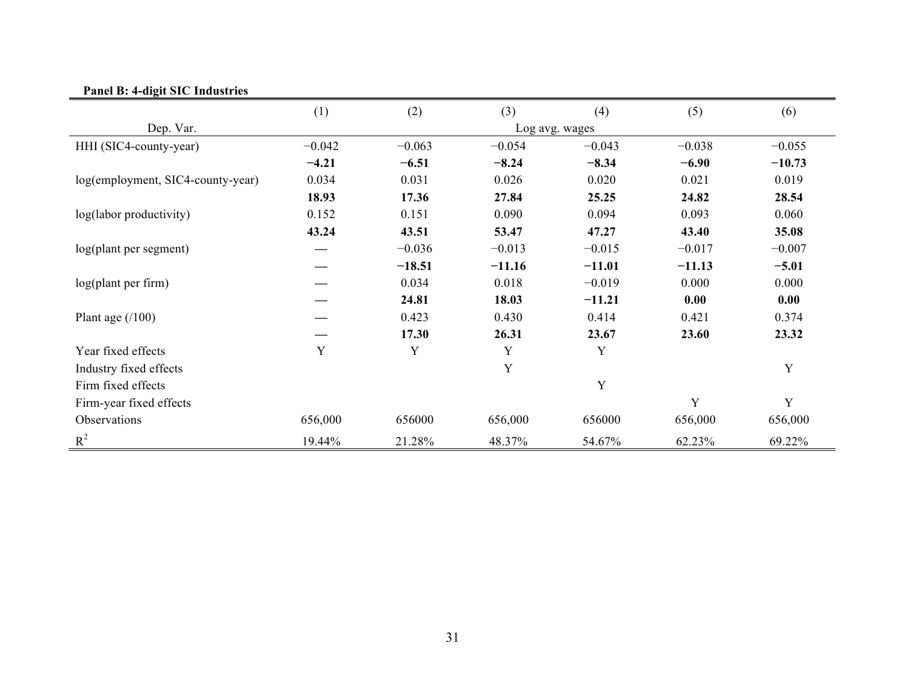| $\frac{1}{2}$ and $\frac{1}{2}$ . |          |          |          |                |          |          |
|-----------------------------------|----------|----------|----------|----------------|----------|----------|
|                                   | (1)      | (2)      | (3)      | (4)            | (5)      | (6)      |
| Dep. Var.                         |          |          |          | Log avg. wages |          |          |
| HHI (SIC4-county-year)            | $-0.042$ | $-0.063$ | $-0.054$ | $-0.043$       | $-0.038$ | $-0.055$ |
|                                   | $-4.21$  | $-6.51$  | $-8.24$  | $-8.34$        | $-6.90$  | $-10.73$ |
| log(employment, SIC4-county-year) | 0.034    | 0.031    | 0.026    | 0.020          | 0.021    | 0.019    |
|                                   | 18.93    | 17.36    | 27.84    | 25.25          | 24.82    | 28.54    |
| log(labor productivity)           | 0.152    | 0.151    | 0.090    | 0.094          | 0.093    | 0.060    |
|                                   | 43.24    | 43.51    | 53.47    | 47.27          | 43.40    | 35.08    |
| log(plant per segment)            |          | $-0.036$ | $-0.013$ | $-0.015$       | $-0.017$ | $-0.007$ |
|                                   |          | $-18.51$ | $-11.16$ | $-11.01$       | $-11.13$ | $-5.01$  |
| log(plant per firm)               |          | 0.034    | 0.018    | $-0.019$       | 0.000    | 0.000    |
|                                   |          | 24.81    | 18.03    | $-11.21$       | 0.00     | 0.00     |
| Plant age $(100)$                 |          | 0.423    | 0.430    | 0.414          | 0.421    | 0.374    |
|                                   |          | 17.30    | 26.31    | 23.67          | 23.60    | 23.32    |
| Year fixed effects                | Y        | Y        | Y        | Y              |          |          |
| Industry fixed effects            |          |          | Y        |                |          | Y        |
| Firm fixed effects                |          |          |          | $\mathbf Y$    |          |          |
| Firm-year fixed effects           |          |          |          |                | Y        | Y        |
| Observations                      | 656,000  | 656000   | 656,000  | 656000         | 656,000  | 656,000  |
| $R^2$                             | 19.44%   | 21.28%   | 48.37%   | 54.67%         | 62.23%   | 69.22%   |

# **Panel B: 4-digit SIC Industries**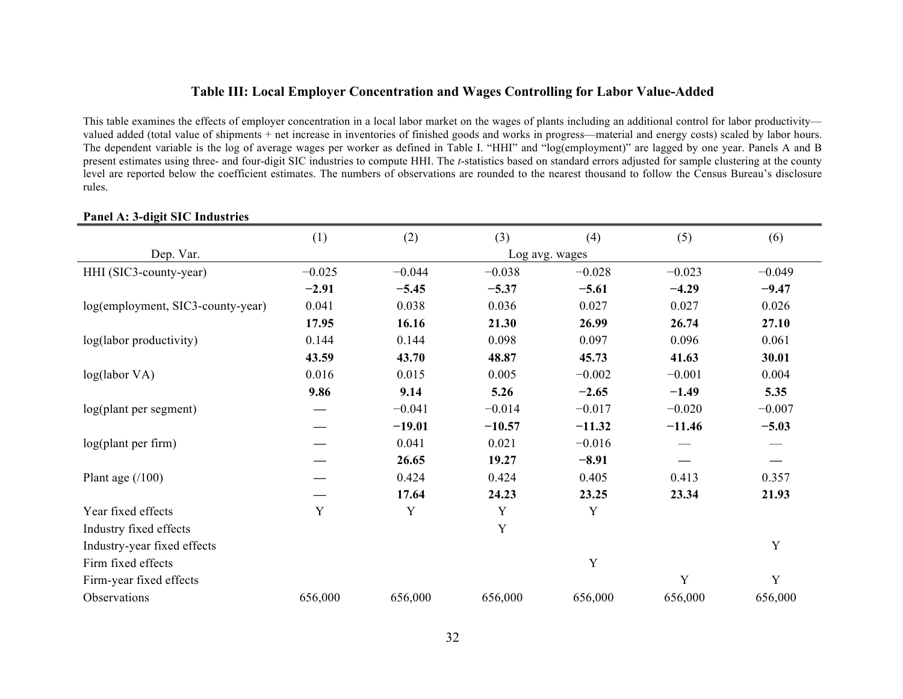# **Table III: Local Employer Concentration and Wages Controlling for Labor Value-Added**

This table examines the effects of employer concentration in a local labor market on the wages of plants including an additional control for labor productivity valued added (total value of shipments + net increase in inventories of finished goods and works in progress—material and energy costs) scaled by labor hours. The dependent variable is the log of average wages per worker as defined in Table I. "HHI" and "log(employment)" are lagged by one year. Panels A and B present estimates using three- and four-digit SIC industries to compute HHI. The *t*-statistics based on standard errors adjusted for sample clustering at the county level are reported below the coefficient estimates. The numbers of observations are rounded to the nearest thousand to follow the Census Bureau's disclosure rules.

|                                   | (1)      | (2)      | (3)         | (4)            | (5)      | (6)      |
|-----------------------------------|----------|----------|-------------|----------------|----------|----------|
| Dep. Var.                         |          |          |             | Log avg. wages |          |          |
| HHI (SIC3-county-year)            | $-0.025$ | $-0.044$ | $-0.038$    | $-0.028$       | $-0.023$ | $-0.049$ |
|                                   | $-2.91$  | $-5.45$  | $-5.37$     | $-5.61$        | $-4.29$  | $-9.47$  |
| log(employment, SIC3-county-year) | 0.041    | 0.038    | 0.036       | 0.027          | 0.027    | 0.026    |
|                                   | 17.95    | 16.16    | 21.30       | 26.99          | 26.74    | 27.10    |
| log(labor productivity)           | 0.144    | 0.144    | 0.098       | 0.097          | 0.096    | 0.061    |
|                                   | 43.59    | 43.70    | 48.87       | 45.73          | 41.63    | 30.01    |
| log(labor VA)                     | 0.016    | 0.015    | 0.005       | $-0.002$       | $-0.001$ | 0.004    |
|                                   | 9.86     | 9.14     | 5.26        | $-2.65$        | $-1.49$  | 5.35     |
| log(plant per segment)            |          | $-0.041$ | $-0.014$    | $-0.017$       | $-0.020$ | $-0.007$ |
|                                   |          | $-19.01$ | $-10.57$    | $-11.32$       | $-11.46$ | $-5.03$  |
| log(plant per firm)               |          | 0.041    | 0.021       | $-0.016$       |          |          |
|                                   |          | 26.65    | 19.27       | $-8.91$        |          |          |
| Plant age $(100)$                 |          | 0.424    | 0.424       | 0.405          | 0.413    | 0.357    |
|                                   |          | 17.64    | 24.23       | 23.25          | 23.34    | 21.93    |
| Year fixed effects                | Y        | Y        | $\mathbf Y$ | Y              |          |          |
| Industry fixed effects            |          |          | Y           |                |          |          |
| Industry-year fixed effects       |          |          |             |                |          | Y        |
| Firm fixed effects                |          |          |             | $\mathbf Y$    |          |          |
| Firm-year fixed effects           |          |          |             |                | Y        | Y        |
| Observations                      | 656,000  | 656,000  | 656,000     | 656,000        | 656,000  | 656,000  |
|                                   |          |          |             |                |          |          |

#### **Panel A: 3-digit SIC Industries**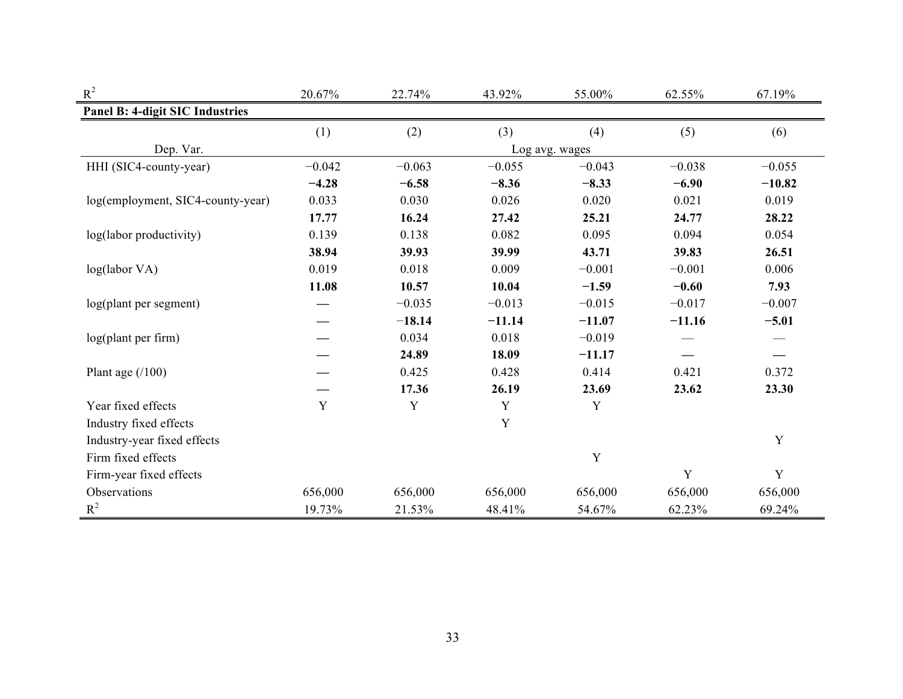| $\mbox{R}^2$                      | 20.67%   | 22.74%   | 43.92%   | 55.00%         | 62.55%   | 67.19%      |
|-----------------------------------|----------|----------|----------|----------------|----------|-------------|
| Panel B: 4-digit SIC Industries   |          |          |          |                |          |             |
|                                   | (1)      | (2)      | (3)      | (4)            | (5)      | (6)         |
| Dep. Var.                         |          |          |          | Log avg. wages |          |             |
| HHI (SIC4-county-year)            | $-0.042$ | $-0.063$ | $-0.055$ | $-0.043$       | $-0.038$ | $-0.055$    |
|                                   | $-4.28$  | $-6.58$  | $-8.36$  | $-8.33$        | $-6.90$  | $-10.82$    |
| log(employment, SIC4-county-year) | 0.033    | 0.030    | 0.026    | 0.020          | 0.021    | 0.019       |
|                                   | 17.77    | 16.24    | 27.42    | 25.21          | 24.77    | 28.22       |
| log(labor productivity)           | 0.139    | 0.138    | 0.082    | 0.095          | 0.094    | 0.054       |
|                                   | 38.94    | 39.93    | 39.99    | 43.71          | 39.83    | 26.51       |
| log(labor VA)                     | 0.019    | 0.018    | 0.009    | $-0.001$       | $-0.001$ | 0.006       |
|                                   | 11.08    | 10.57    | 10.04    | $-1.59$        | $-0.60$  | 7.93        |
| log(plant per segment)            |          | $-0.035$ | $-0.013$ | $-0.015$       | $-0.017$ | $-0.007$    |
|                                   |          | $-18.14$ | $-11.14$ | $-11.07$       | $-11.16$ | $-5.01$     |
| log(plant per firm)               |          | 0.034    | 0.018    | $-0.019$       |          |             |
|                                   |          | 24.89    | 18.09    | $-11.17$       |          |             |
| Plant age $(100)$                 |          | 0.425    | 0.428    | 0.414          | 0.421    | 0.372       |
|                                   |          | 17.36    | 26.19    | 23.69          | 23.62    | 23.30       |
| Year fixed effects                | Y        | Y        | Y        | $\mathbf Y$    |          |             |
| Industry fixed effects            |          |          | Y        |                |          |             |
| Industry-year fixed effects       |          |          |          |                |          | Y           |
| Firm fixed effects                |          |          |          | Y              |          |             |
| Firm-year fixed effects           |          |          |          |                | Y        | $\mathbf Y$ |
| Observations                      | 656,000  | 656,000  | 656,000  | 656,000        | 656,000  | 656,000     |
| $R^2$                             | 19.73%   | 21.53%   | 48.41%   | 54.67%         | 62.23%   | 69.24%      |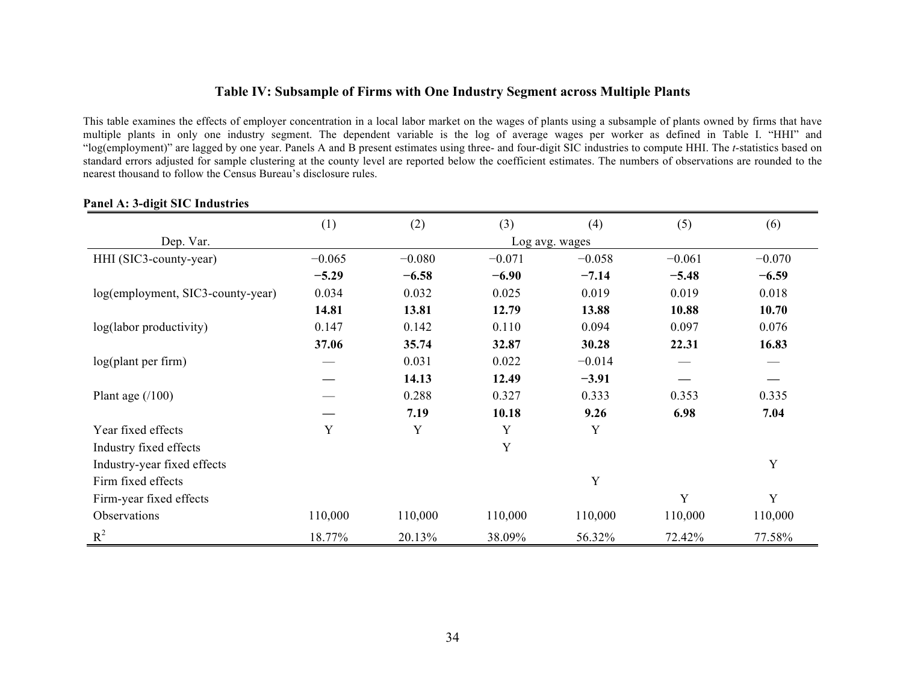## **Table IV: Subsample of Firms with One Industry Segment across Multiple Plants**

This table examines the effects of employer concentration in a local labor market on the wages of plants using a subsample of plants owned by firms that have multiple plants in only one industry segment. The dependent variable is the log of average wages per worker as defined in Table I. "HHI" and "log(employment)" are lagged by one year. Panels A and B present estimates using three- and four-digit SIC industries to compute HHI. The *t*-statistics based on standard errors adjusted for sample clustering at the county level are reported below the coefficient estimates. The numbers of observations are rounded to the nearest thousand to follow the Census Bureau's disclosure rules.

|                                   | (1)      | (2)      | (3)      | (4)            | (5)      | (6)      |
|-----------------------------------|----------|----------|----------|----------------|----------|----------|
| Dep. Var.                         |          |          |          | Log avg. wages |          |          |
| HHI (SIC3-county-year)            | $-0.065$ | $-0.080$ | $-0.071$ | $-0.058$       | $-0.061$ | $-0.070$ |
|                                   | $-5.29$  | $-6.58$  | $-6.90$  | $-7.14$        | $-5.48$  | $-6.59$  |
| log(employment, SIC3-county-year) | 0.034    | 0.032    | 0.025    | 0.019          | 0.019    | 0.018    |
|                                   | 14.81    | 13.81    | 12.79    | 13.88          | 10.88    | 10.70    |
| log(labor productivity)           | 0.147    | 0.142    | 0.110    | 0.094          | 0.097    | 0.076    |
|                                   | 37.06    | 35.74    | 32.87    | 30.28          | 22.31    | 16.83    |
| log(plant per firm)               |          | 0.031    | 0.022    | $-0.014$       |          |          |
|                                   |          | 14.13    | 12.49    | $-3.91$        |          |          |
| Plant age $(100)$                 |          | 0.288    | 0.327    | 0.333          | 0.353    | 0.335    |
|                                   |          | 7.19     | 10.18    | 9.26           | 6.98     | 7.04     |
| Year fixed effects                | Y        | Y        | Y        | Y              |          |          |
| Industry fixed effects            |          |          | Y        |                |          |          |
| Industry-year fixed effects       |          |          |          |                |          | Y        |
| Firm fixed effects                |          |          |          | Y              |          |          |
| Firm-year fixed effects           |          |          |          |                | Y        | Y        |
| Observations                      | 110,000  | 110,000  | 110,000  | 110,000        | 110,000  | 110,000  |
| $R^2$                             | 18.77%   | 20.13%   | 38.09%   | 56.32%         | 72.42%   | 77.58%   |

#### **Panel A: 3-digit SIC Industries**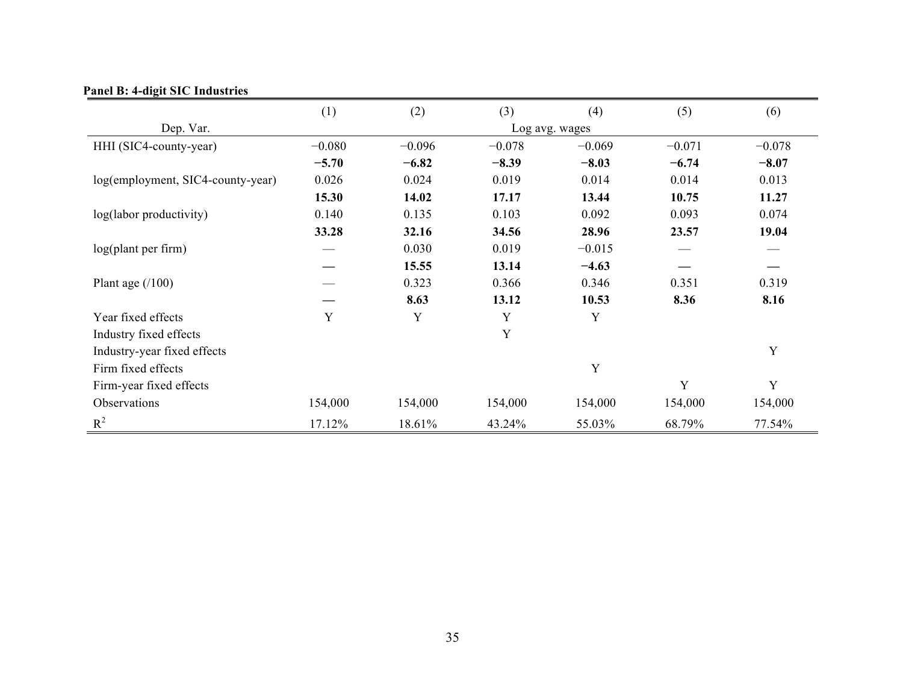|                                   | (1)      | (2)      | (3)      | (4)            | (5)      | (6)      |
|-----------------------------------|----------|----------|----------|----------------|----------|----------|
| Dep. Var.                         |          |          |          | Log avg. wages |          |          |
| HHI (SIC4-county-year)            | $-0.080$ | $-0.096$ | $-0.078$ | $-0.069$       | $-0.071$ | $-0.078$ |
|                                   | $-5.70$  | $-6.82$  | $-8.39$  | $-8.03$        | $-6.74$  | $-8.07$  |
| log(employment, SIC4-county-year) | 0.026    | 0.024    | 0.019    | 0.014          | 0.014    | 0.013    |
|                                   | 15.30    | 14.02    | 17.17    | 13.44          | 10.75    | 11.27    |
| log(labor productivity)           | 0.140    | 0.135    | 0.103    | 0.092          | 0.093    | 0.074    |
|                                   | 33.28    | 32.16    | 34.56    | 28.96          | 23.57    | 19.04    |
| log(plant per firm)               |          | 0.030    | 0.019    | $-0.015$       |          |          |
|                                   |          | 15.55    | 13.14    | $-4.63$        |          |          |
| Plant age $(100)$                 |          | 0.323    | 0.366    | 0.346          | 0.351    | 0.319    |
|                                   |          | 8.63     | 13.12    | 10.53          | 8.36     | 8.16     |
| Year fixed effects                | Y        | Y        | Y        | Y              |          |          |
| Industry fixed effects            |          |          | Y        |                |          |          |
| Industry-year fixed effects       |          |          |          |                |          | Y        |
| Firm fixed effects                |          |          |          | Y              |          |          |
| Firm-year fixed effects           |          |          |          |                | Y        | Y        |
| Observations                      | 154,000  | 154,000  | 154,000  | 154,000        | 154,000  | 154,000  |
| $R^2$                             | 17.12%   | 18.61%   | 43.24%   | 55.03%         | 68.79%   | 77.54%   |

# **Panel B: 4-digit SIC Industries**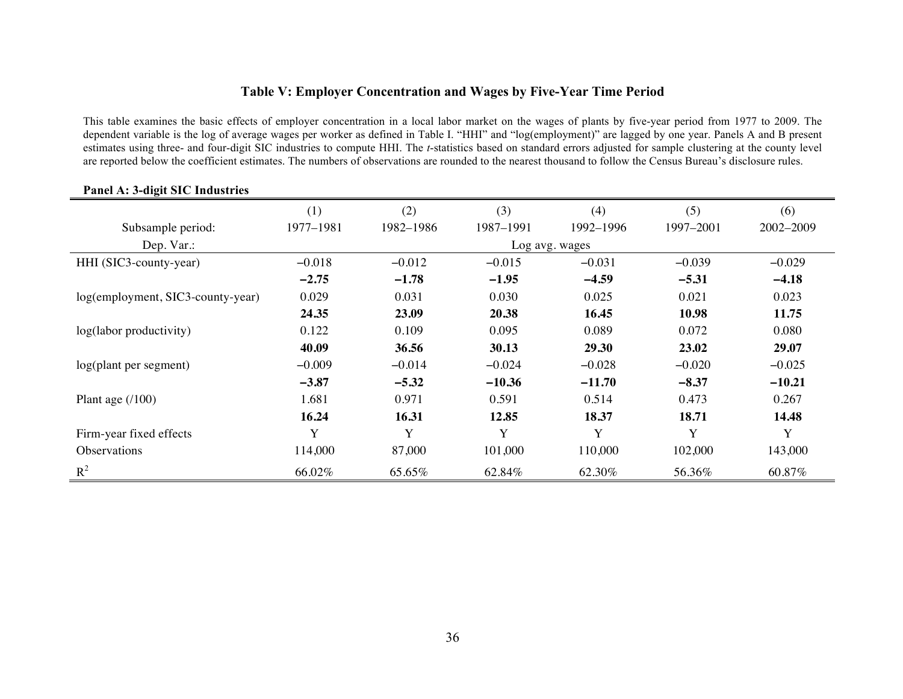# **Table V: Employer Concentration and Wages by Five-Year Time Period**

This table examines the basic effects of employer concentration in a local labor market on the wages of plants by five-year period from 1977 to 2009. The dependent variable is the log of average wages per worker as defined in Table I. "HHI" and "log(employment)" are lagged by one year. Panels A and B present estimates using three- and four-digit SIC industries to compute HHI. The *t*-statistics based on standard errors adjusted for sample clustering at the county level are reported below the coefficient estimates. The numbers of observations are rounded to the nearest thousand to follow the Census Bureau's disclosure rules.

|                                   | (1)       | (2)       | (3)       | (4)            | (5)       | (6)       |
|-----------------------------------|-----------|-----------|-----------|----------------|-----------|-----------|
| Subsample period:                 | 1977-1981 | 1982-1986 | 1987-1991 | 1992-1996      | 1997-2001 | 2002-2009 |
| Dep. Var.:                        |           |           |           | Log avg. wages |           |           |
| HHI (SIC3-county-year)            | $-0.018$  | $-0.012$  | $-0.015$  | $-0.031$       | $-0.039$  | $-0.029$  |
|                                   | $-2.75$   | $-1.78$   | $-1.95$   | $-4.59$        | $-5.31$   | $-4.18$   |
| log(employment, SIC3-county-year) | 0.029     | 0.031     | 0.030     | 0.025          | 0.021     | 0.023     |
|                                   | 24.35     | 23.09     | 20.38     | 16.45          | 10.98     | 11.75     |
| log(labor productivity)           | 0.122     | 0.109     | 0.095     | 0.089          | 0.072     | 0.080     |
|                                   | 40.09     | 36.56     | 30.13     | 29.30          | 23.02     | 29.07     |
| $log($ plant per segment $)$      | $-0.009$  | $-0.014$  | $-0.024$  | $-0.028$       | $-0.020$  | $-0.025$  |
|                                   | $-3.87$   | $-5.32$   | $-10.36$  | $-11.70$       | $-8.37$   | $-10.21$  |
| Plant age $(100)$                 | 1.681     | 0.971     | 0.591     | 0.514          | 0.473     | 0.267     |
|                                   | 16.24     | 16.31     | 12.85     | 18.37          | 18.71     | 14.48     |
| Firm-year fixed effects           | Y         | Y         | Y         | Y              | Y         | Y         |
| <b>Observations</b>               | 114,000   | 87,000    | 101,000   | 110,000        | 102,000   | 143,000   |
| $R^2$                             | 66.02%    | 65.65%    | 62.84%    | 62.30%         | 56.36%    | 60.87%    |

# **Panel A: 3-digit SIC Industries**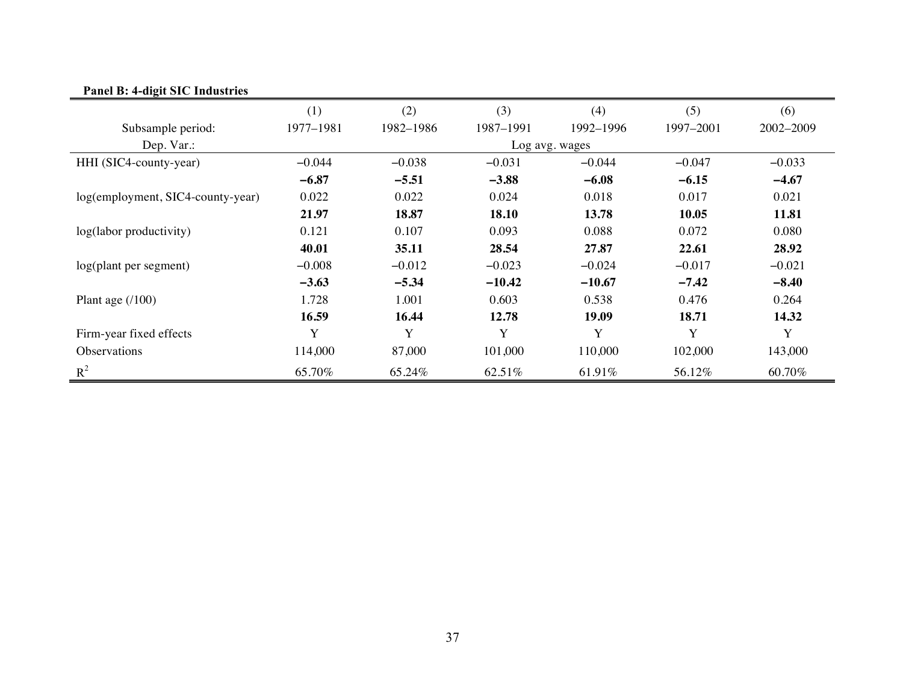| Panel B: 4-digit SIC Industries   |           |           |           |                |           |           |
|-----------------------------------|-----------|-----------|-----------|----------------|-----------|-----------|
|                                   | (1)       | (2)       | (3)       | (4)            | (5)       | (6)       |
| Subsample period:                 | 1977-1981 | 1982-1986 | 1987-1991 | 1992-1996      | 1997-2001 | 2002-2009 |
| Dep. Var.:                        |           |           |           | Log avg. wages |           |           |
| HHI (SIC4-county-year)            | $-0.044$  | $-0.038$  | $-0.031$  | $-0.044$       | $-0.047$  | $-0.033$  |
|                                   | $-6.87$   | $-5.51$   | $-3.88$   | $-6.08$        | $-6.15$   | $-4.67$   |
| log(employment, SIC4-county-year) | 0.022     | 0.022     | 0.024     | 0.018          | 0.017     | 0.021     |
|                                   | 21.97     | 18.87     | 18.10     | 13.78          | 10.05     | 11.81     |
| log(labor productivity)           | 0.121     | 0.107     | 0.093     | 0.088          | 0.072     | 0.080     |
|                                   | 40.01     | 35.11     | 28.54     | 27.87          | 22.61     | 28.92     |
| log(plant per segment)            | $-0.008$  | $-0.012$  | $-0.023$  | $-0.024$       | $-0.017$  | $-0.021$  |
|                                   | $-3.63$   | $-5.34$   | $-10.42$  | $-10.67$       | $-7.42$   | $-8.40$   |
| Plant age $(100)$                 | 1.728     | 1.001     | 0.603     | 0.538          | 0.476     | 0.264     |
|                                   | 16.59     | 16.44     | 12.78     | 19.09          | 18.71     | 14.32     |
| Firm-year fixed effects           | Y         | Y         | Y         | Y              | Y         | Y         |
| Observations                      | 114,000   | 87,000    | 101,000   | 110,000        | 102,000   | 143,000   |
| $R^2$                             | 65.70%    | 65.24%    | 62.51%    | 61.91%         | 56.12%    | 60.70%    |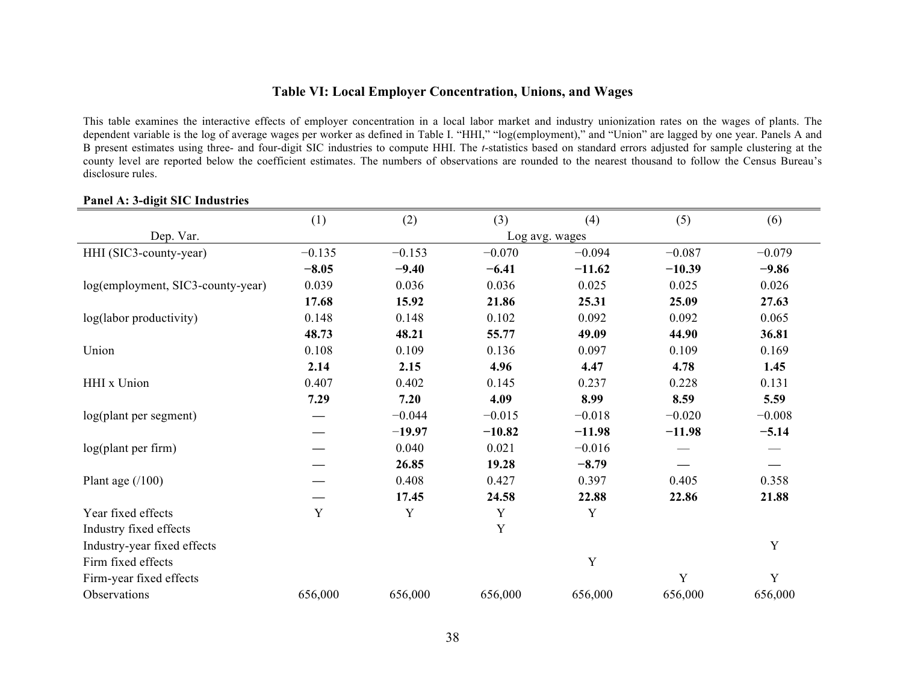# **Table VI: Local Employer Concentration, Unions, and Wages**

This table examines the interactive effects of employer concentration in a local labor market and industry unionization rates on the wages of plants. The dependent variable is the log of average wages per worker as defined in Table I. "HHI," "log(employment)," and "Union" are lagged by one year. Panels A and B present estimates using three- and four-digit SIC industries to compute HHI. The *t*-statistics based on standard errors adjusted for sample clustering at the county level are reported below the coefficient estimates. The numbers of observations are rounded to the nearest thousand to follow the Census Bureau's disclosure rules.

|                                   | (1)         | (2)      | (3)      | (4)            | (5)      | (6)         |
|-----------------------------------|-------------|----------|----------|----------------|----------|-------------|
| Dep. Var.                         |             |          |          | Log avg. wages |          |             |
| HHI (SIC3-county-year)            | $-0.135$    | $-0.153$ | $-0.070$ | $-0.094$       | $-0.087$ | $-0.079$    |
|                                   | $-8.05$     | $-9.40$  | $-6.41$  | $-11.62$       | $-10.39$ | $-9.86$     |
| log(employment, SIC3-county-year) | 0.039       | 0.036    | 0.036    | 0.025          | 0.025    | 0.026       |
|                                   | 17.68       | 15.92    | 21.86    | 25.31          | 25.09    | 27.63       |
| log(labor productivity)           | 0.148       | 0.148    | 0.102    | 0.092          | 0.092    | 0.065       |
|                                   | 48.73       | 48.21    | 55.77    | 49.09          | 44.90    | 36.81       |
| Union                             | 0.108       | 0.109    | 0.136    | 0.097          | 0.109    | 0.169       |
|                                   | 2.14        | 2.15     | 4.96     | 4.47           | 4.78     | 1.45        |
| HHI x Union                       | 0.407       | 0.402    | 0.145    | 0.237          | 0.228    | 0.131       |
|                                   | 7.29        | 7.20     | 4.09     | 8.99           | 8.59     | 5.59        |
| log(plant per segment)            |             | $-0.044$ | $-0.015$ | $-0.018$       | $-0.020$ | $-0.008$    |
|                                   |             | $-19.97$ | $-10.82$ | $-11.98$       | $-11.98$ | $-5.14$     |
| log(plant per firm)               |             | 0.040    | 0.021    | $-0.016$       |          |             |
|                                   |             | 26.85    | 19.28    | $-8.79$        |          |             |
| Plant age $(100)$                 |             | 0.408    | 0.427    | 0.397          | 0.405    | 0.358       |
|                                   |             | 17.45    | 24.58    | 22.88          | 22.86    | 21.88       |
| Year fixed effects                | $\mathbf Y$ | Y        | Y        | Y              |          |             |
| Industry fixed effects            |             |          | Y        |                |          |             |
| Industry-year fixed effects       |             |          |          |                |          | Y           |
| Firm fixed effects                |             |          |          | Y              |          |             |
| Firm-year fixed effects           |             |          |          |                | Y        | $\mathbf Y$ |
| Observations                      | 656,000     | 656,000  | 656,000  | 656,000        | 656,000  | 656,000     |

#### **Panel A: 3-digit SIC Industries**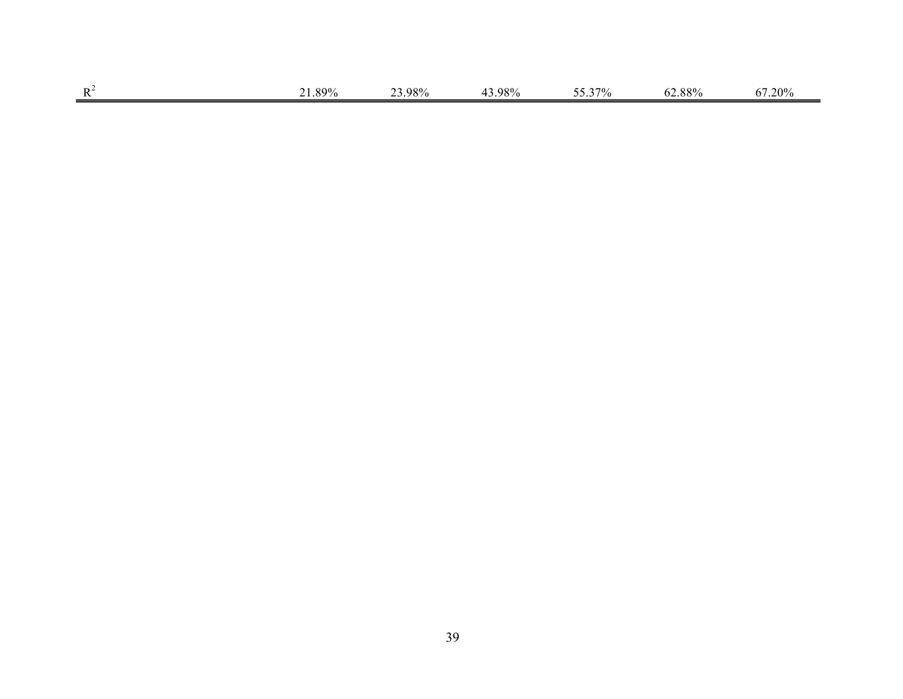| $\mathbf{L}$ | QQ0/ | 98%<br>___98% | $\Omega$ <sup>Q</sup> $\Omega$ /<br>- 70770<br>$-1$ | $\sim$ $-$<br>70<br>$\prime\prime$ | QQQ<br>. .<br>. ဂ ဂ<br>. <i>. .</i> . | $2.0\%$<br>. ר |
|--------------|------|---------------|-----------------------------------------------------|------------------------------------|---------------------------------------|----------------|
|              |      |               |                                                     |                                    |                                       |                |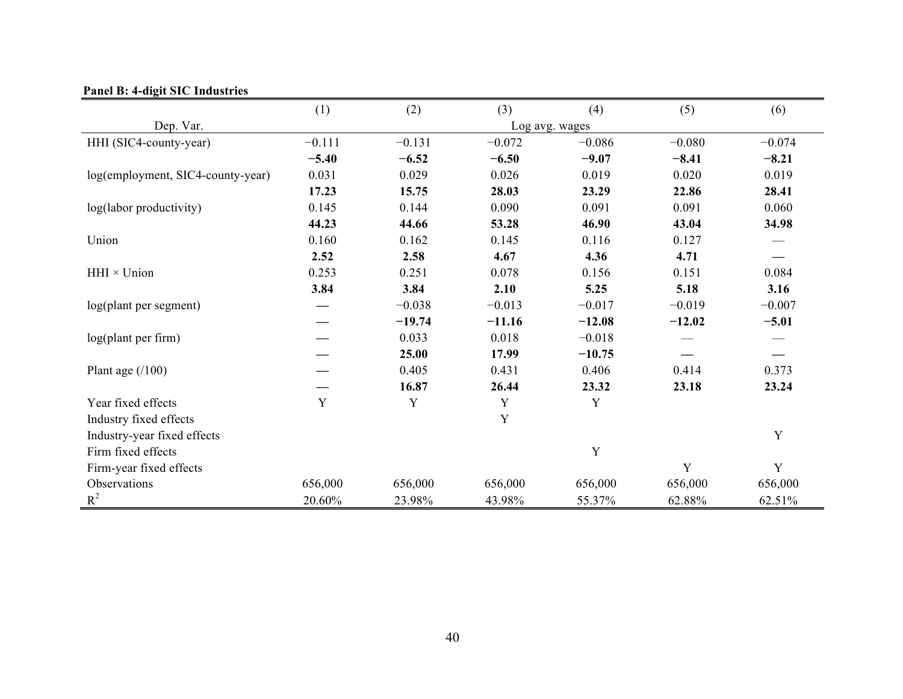|                                   | (1)      | (2)      | (3)      | (4)            | (5)      | (6)         |
|-----------------------------------|----------|----------|----------|----------------|----------|-------------|
| Dep. Var.                         |          |          |          | Log avg. wages |          |             |
| HHI (SIC4-county-year)            | $-0.111$ | $-0.131$ | $-0.072$ | $-0.086$       | $-0.080$ | $-0.074$    |
|                                   | $-5.40$  | $-6.52$  | $-6.50$  | $-9.07$        | $-8.41$  | $-8.21$     |
| log(employment, SIC4-county-year) | 0.031    | 0.029    | 0.026    | 0.019          | 0.020    | 0.019       |
|                                   | 17.23    | 15.75    | 28.03    | 23.29          | 22.86    | 28.41       |
| log(labor productivity)           | 0.145    | 0.144    | 0.090    | 0.091          | 0.091    | 0.060       |
|                                   | 44.23    | 44.66    | 53.28    | 46.90          | 43.04    | 34.98       |
| Union                             | 0.160    | 0.162    | 0.145    | 0.116          | 0.127    |             |
|                                   | 2.52     | 2.58     | 4.67     | 4.36           | 4.71     |             |
| $HHI \times Union$                | 0.253    | 0.251    | 0.078    | 0.156          | 0.151    | 0.084       |
|                                   | 3.84     | 3.84     | 2.10     | 5.25           | 5.18     | 3.16        |
| log(plant per segment)            |          | $-0.038$ | $-0.013$ | $-0.017$       | $-0.019$ | $-0.007$    |
|                                   |          | $-19.74$ | $-11.16$ | $-12.08$       | $-12.02$ | $-5.01$     |
| $log($ plant per firm $)$         |          | 0.033    | 0.018    | $-0.018$       |          |             |
|                                   |          | 25.00    | 17.99    | $-10.75$       |          |             |
| Plant age $(100)$                 |          | 0.405    | 0.431    | 0.406          | 0.414    | 0.373       |
|                                   |          | 16.87    | 26.44    | 23.32          | 23.18    | 23.24       |
| Year fixed effects                | Y        | Y        | Y        | Y              |          |             |
| Industry fixed effects            |          |          | Y        |                |          |             |
| Industry-year fixed effects       |          |          |          |                |          | Y           |
| Firm fixed effects                |          |          |          | Y              |          |             |
| Firm-year fixed effects           |          |          |          |                | Y        | $\mathbf Y$ |
| Observations                      | 656,000  | 656,000  | 656,000  | 656,000        | 656,000  | 656,000     |
| $R^2$                             | 20.60%   | 23.98%   | 43.98%   | 55.37%         | 62.88%   | 62.51%      |

# **Panel B: 4-digit SIC Industries**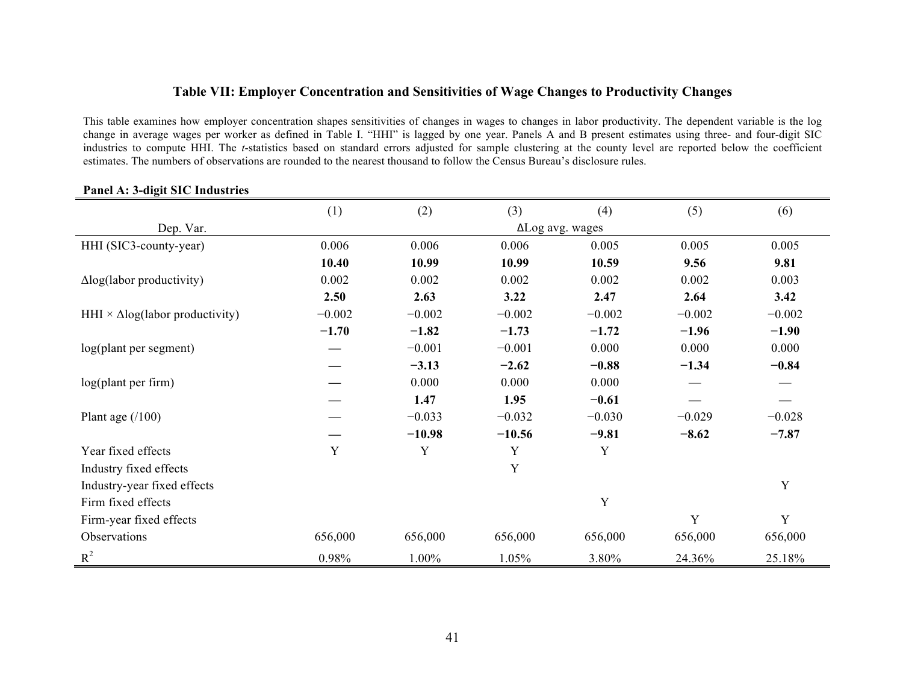### **Table VII: Employer Concentration and Sensitivities of Wage Changes to Productivity Changes**

This table examines how employer concentration shapes sensitivities of changes in wages to changes in labor productivity. The dependent variable is the log change in average wages per worker as defined in Table I. "HHI" is lagged by one year. Panels A and B present estimates using three- and four-digit SIC industries to compute HHI. The *t*-statistics based on standard errors adjusted for sample clustering at the county level are reported below the coefficient estimates. The numbers of observations are rounded to the nearest thousand to follow the Census Bureau's disclosure rules.

|                                               | (1)      | (2)      | (3)      | (4)             | (5)      | (6)      |
|-----------------------------------------------|----------|----------|----------|-----------------|----------|----------|
| Dep. Var.                                     |          |          |          | ΔLog avg. wages |          |          |
| HHI (SIC3-county-year)                        | 0.006    | 0.006    | 0.006    | 0.005           | 0.005    | 0.005    |
|                                               | 10.40    | 10.99    | 10.99    | 10.59           | 9.56     | 9.81     |
| $\Delta$ log(labor productivity)              | 0.002    | 0.002    | 0.002    | 0.002           | 0.002    | 0.003    |
|                                               | 2.50     | 2.63     | 3.22     | 2.47            | 2.64     | 3.42     |
| HHI $\times$ $\Delta$ log(labor productivity) | $-0.002$ | $-0.002$ | $-0.002$ | $-0.002$        | $-0.002$ | $-0.002$ |
|                                               | $-1.70$  | $-1.82$  | $-1.73$  | $-1.72$         | $-1.96$  | $-1.90$  |
| log(plant per segment)                        |          | $-0.001$ | $-0.001$ | 0.000           | 0.000    | 0.000    |
|                                               |          | $-3.13$  | $-2.62$  | $-0.88$         | $-1.34$  | $-0.84$  |
| log(plant per firm)                           |          | 0.000    | 0.000    | 0.000           |          |          |
|                                               |          | 1.47     | 1.95     | $-0.61$         |          |          |
| Plant age $(100)$                             |          | $-0.033$ | $-0.032$ | $-0.030$        | $-0.029$ | $-0.028$ |
|                                               |          | $-10.98$ | $-10.56$ | $-9.81$         | $-8.62$  | $-7.87$  |
| Year fixed effects                            | Y        | Y        | Y        | Y               |          |          |
| Industry fixed effects                        |          |          | Y        |                 |          |          |
| Industry-year fixed effects                   |          |          |          |                 |          | Y        |
| Firm fixed effects                            |          |          |          | Y               |          |          |
| Firm-year fixed effects                       |          |          |          |                 | Y        | Y        |
| Observations                                  | 656,000  | 656,000  | 656,000  | 656,000         | 656,000  | 656,000  |
| $R^2$                                         | 0.98%    | 1.00%    | 1.05%    | 3.80%           | 24.36%   | 25.18%   |

# **Panel A: 3-digit SIC Industries**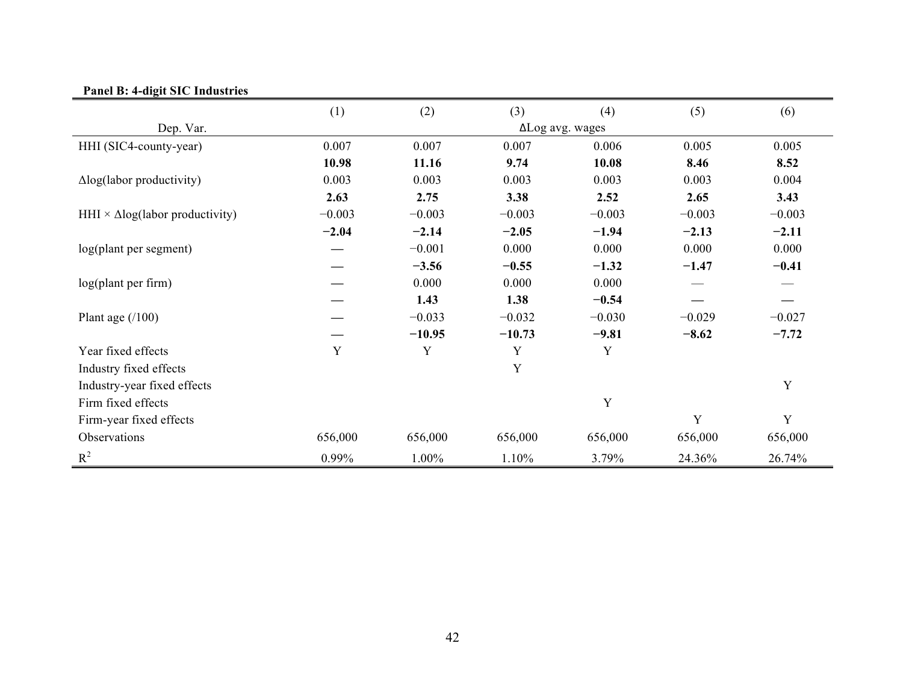| $\frac{1}{2}$ and $\frac{1}{2}$ . also be invaried |             |          |          |                 |          |             |
|----------------------------------------------------|-------------|----------|----------|-----------------|----------|-------------|
|                                                    | (1)         | (2)      | (3)      | (4)             | (5)      | (6)         |
| Dep. Var.                                          |             |          |          | ΔLog avg. wages |          |             |
| HHI (SIC4-county-year)                             | 0.007       | 0.007    | 0.007    | 0.006           | 0.005    | 0.005       |
|                                                    | 10.98       | 11.16    | 9.74     | 10.08           | 8.46     | 8.52        |
| $\Delta$ log(labor productivity)                   | 0.003       | 0.003    | 0.003    | 0.003           | 0.003    | 0.004       |
|                                                    | 2.63        | 2.75     | 3.38     | 2.52            | 2.65     | 3.43        |
| HHI $\times$ $\Delta$ log(labor productivity)      | $-0.003$    | $-0.003$ | $-0.003$ | $-0.003$        | $-0.003$ | $-0.003$    |
|                                                    | $-2.04$     | $-2.14$  | $-2.05$  | $-1.94$         | $-2.13$  | $-2.11$     |
| log(plant per segment)                             |             | $-0.001$ | 0.000    | 0.000           | 0.000    | 0.000       |
|                                                    |             | $-3.56$  | $-0.55$  | $-1.32$         | $-1.47$  | $-0.41$     |
| log(plant per firm)                                |             | 0.000    | 0.000    | 0.000           |          |             |
|                                                    |             | 1.43     | 1.38     | $-0.54$         |          |             |
| Plant age $(100)$                                  |             | $-0.033$ | $-0.032$ | $-0.030$        | $-0.029$ | $-0.027$    |
|                                                    |             | $-10.95$ | $-10.73$ | $-9.81$         | $-8.62$  | $-7.72$     |
| Year fixed effects                                 | $\mathbf Y$ | Y        | Y        | Y               |          |             |
| Industry fixed effects                             |             |          | Y        |                 |          |             |
| Industry-year fixed effects                        |             |          |          |                 |          | Y           |
| Firm fixed effects                                 |             |          |          | Y               |          |             |
| Firm-year fixed effects                            |             |          |          |                 | Y        | $\mathbf Y$ |
| Observations                                       | 656,000     | 656,000  | 656,000  | 656,000         | 656,000  | 656,000     |
| $R^2$                                              | 0.99%       | 1.00%    | 1.10%    | 3.79%           | 24.36%   | 26.74%      |

# **Panel B: 4-digit SIC Industries**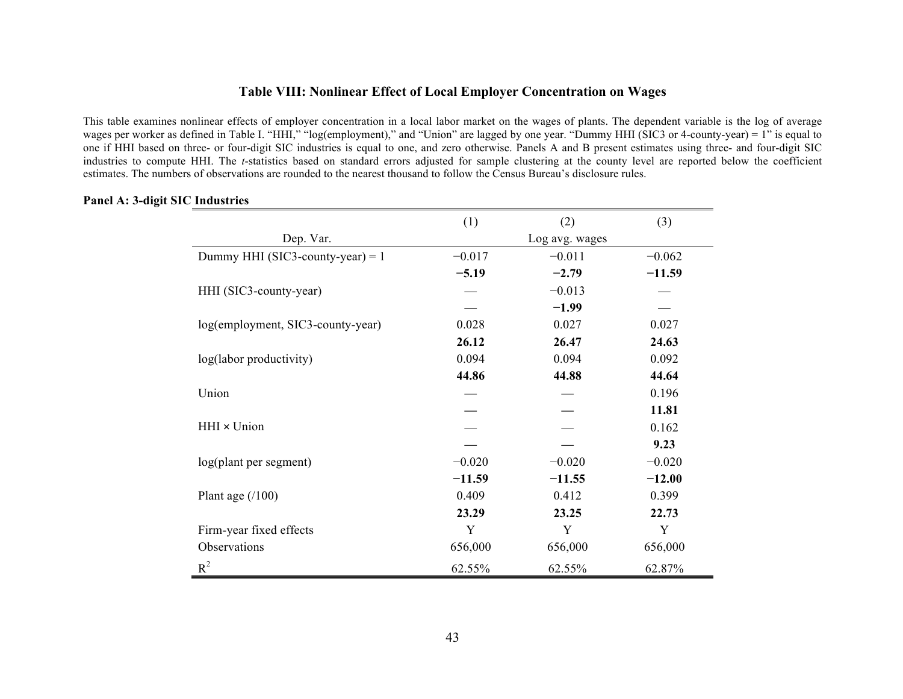## **Table VIII: Nonlinear Effect of Local Employer Concentration on Wages**

This table examines nonlinear effects of employer concentration in a local labor market on the wages of plants. The dependent variable is the log of average wages per worker as defined in Table I. "HHI," "log(employment)," and "Union" are lagged by one year. "Dummy HHI (SIC3 or 4-county-year) = 1" is equal to one if HHI based on three- or four-digit SIC industries is equal to one, and zero otherwise. Panels A and B present estimates using three- and four-digit SIC industries to compute HHI. The *t*-statistics based on standard errors adjusted for sample clustering at the county level are reported below the coefficient estimates. The numbers of observations are rounded to the nearest thousand to follow the Census Bureau's disclosure rules.

|                                    | (1)      | (2)            | (3)      |
|------------------------------------|----------|----------------|----------|
| Dep. Var.                          |          | Log avg. wages |          |
| Dummy HHI (SIC3-county-year) = $1$ | $-0.017$ | $-0.011$       | $-0.062$ |
|                                    | $-5.19$  | $-2.79$        | $-11.59$ |
| HHI (SIC3-county-year)             |          | $-0.013$       |          |
|                                    |          | $-1.99$        |          |
| log(employment, SIC3-county-year)  | 0.028    | 0.027          | 0.027    |
|                                    | 26.12    | 26.47          | 24.63    |
| log(labor productivity)            | 0.094    | 0.094          | 0.092    |
|                                    | 44.86    | 44.88          | 44.64    |
| Union                              |          |                | 0.196    |
|                                    |          |                | 11.81    |
| HHI × Union                        |          |                | 0.162    |
|                                    |          |                | 9.23     |
| log(plant per segment)             | $-0.020$ | $-0.020$       | $-0.020$ |
|                                    | $-11.59$ | $-11.55$       | $-12.00$ |
| Plant age $(100)$                  | 0.409    | 0.412          | 0.399    |
|                                    | 23.29    | 23.25          | 22.73    |
| Firm-year fixed effects            | Y        | Y              | Y        |
| Observations                       | 656,000  | 656,000        | 656,000  |
| $R^2$                              | 62.55%   | 62.55%         | 62.87%   |

#### **Panel A: 3-digit SIC Industries**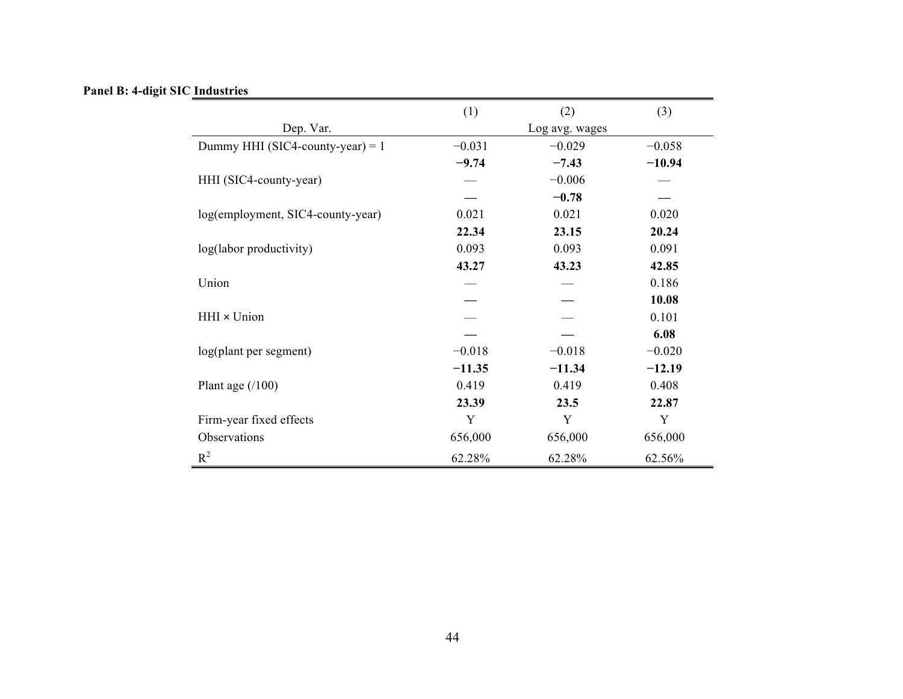# **Panel B: 4-digit SIC Industries**

|                                    | (1)      | (2)            | (3)      |
|------------------------------------|----------|----------------|----------|
| Dep. Var.                          |          | Log avg. wages |          |
| Dummy HHI (SIC4-county-year) = $1$ | $-0.031$ | $-0.029$       | $-0.058$ |
|                                    | $-9.74$  | $-7.43$        | $-10.94$ |
| HHI (SIC4-county-year)             |          | $-0.006$       |          |
|                                    |          | $-0.78$        |          |
| log(employment, SIC4-county-year)  | 0.021    | 0.021          | 0.020    |
|                                    | 22.34    | 23.15          | 20.24    |
| log(labor productivity)            | 0.093    | 0.093          | 0.091    |
|                                    | 43.27    | 43.23          | 42.85    |
| Union                              |          |                | 0.186    |
|                                    |          |                | 10.08    |
| HHI × Union                        |          |                | 0.101    |
|                                    |          |                | 6.08     |
| log(plant per segment)             | $-0.018$ | $-0.018$       | $-0.020$ |
|                                    | $-11.35$ | $-11.34$       | $-12.19$ |
| Plant age $(100)$                  | 0.419    | 0.419          | 0.408    |
|                                    | 23.39    | 23.5           | 22.87    |
| Firm-year fixed effects            | Y        | Y              | Y        |
| Observations                       | 656,000  | 656,000        | 656,000  |
| $R^2$                              | 62.28%   | 62.28%         | 62.56%   |

<u> 1989 - Johann Stoff, deutscher Stoffen und der Stoffen und der Stoffen und der Stoffen und der Stoffen und d</u>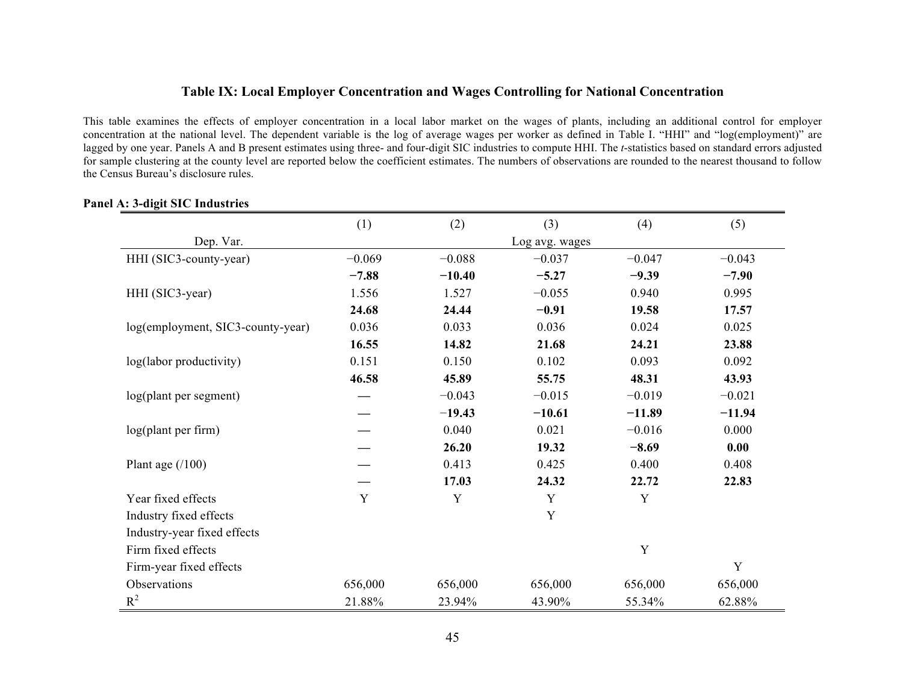### **Table IX: Local Employer Concentration and Wages Controlling for National Concentration**

This table examines the effects of employer concentration in a local labor market on the wages of plants, including an additional control for employer concentration at the national level. The dependent variable is the log of average wages per worker as defined in Table I. "HHI" and "log(employment)" are lagged by one year. Panels A and B present estimates using three- and four-digit SIC industries to compute HHI. The *t*-statistics based on standard errors adjusted for sample clustering at the county level are reported below the coefficient estimates. The numbers of observations are rounded to the nearest thousand to follow the Census Bureau's disclosure rules.

|                                   | (1)         | (2)      | (3)            | (4)      | (5)      |
|-----------------------------------|-------------|----------|----------------|----------|----------|
| Dep. Var.                         |             |          | Log avg. wages |          |          |
| HHI (SIC3-county-year)            | $-0.069$    | $-0.088$ | $-0.037$       | $-0.047$ | $-0.043$ |
|                                   | $-7.88$     | $-10.40$ | $-5.27$        | $-9.39$  | $-7.90$  |
| HHI (SIC3-year)                   | 1.556       | 1.527    | $-0.055$       | 0.940    | 0.995    |
|                                   | 24.68       | 24.44    | $-0.91$        | 19.58    | 17.57    |
| log(employment, SIC3-county-year) | 0.036       | 0.033    | 0.036          | 0.024    | 0.025    |
|                                   | 16.55       | 14.82    | 21.68          | 24.21    | 23.88    |
| log(labor productivity)           | 0.151       | 0.150    | 0.102          | 0.093    | 0.092    |
|                                   | 46.58       | 45.89    | 55.75          | 48.31    | 43.93    |
| log(plant per segment)            |             | $-0.043$ | $-0.015$       | $-0.019$ | $-0.021$ |
|                                   |             | $-19.43$ | $-10.61$       | $-11.89$ | $-11.94$ |
| $log($ plant per firm $)$         |             | 0.040    | 0.021          | $-0.016$ | 0.000    |
|                                   |             | 26.20    | 19.32          | $-8.69$  | 0.00     |
| Plant age $(100)$                 |             | 0.413    | 0.425          | 0.400    | 0.408    |
|                                   |             | 17.03    | 24.32          | 22.72    | 22.83    |
| Year fixed effects                | $\mathbf Y$ | Y        | Y              | Y        |          |
| Industry fixed effects            |             |          | Y              |          |          |
| Industry-year fixed effects       |             |          |                |          |          |
| Firm fixed effects                |             |          |                | Y        |          |
| Firm-year fixed effects           |             |          |                |          | Y        |
| Observations                      | 656,000     | 656,000  | 656,000        | 656,000  | 656,000  |
| $R^2$                             | 21.88%      | 23.94%   | 43.90%         | 55.34%   | 62.88%   |

#### **Panel A: 3-digit SIC Industries**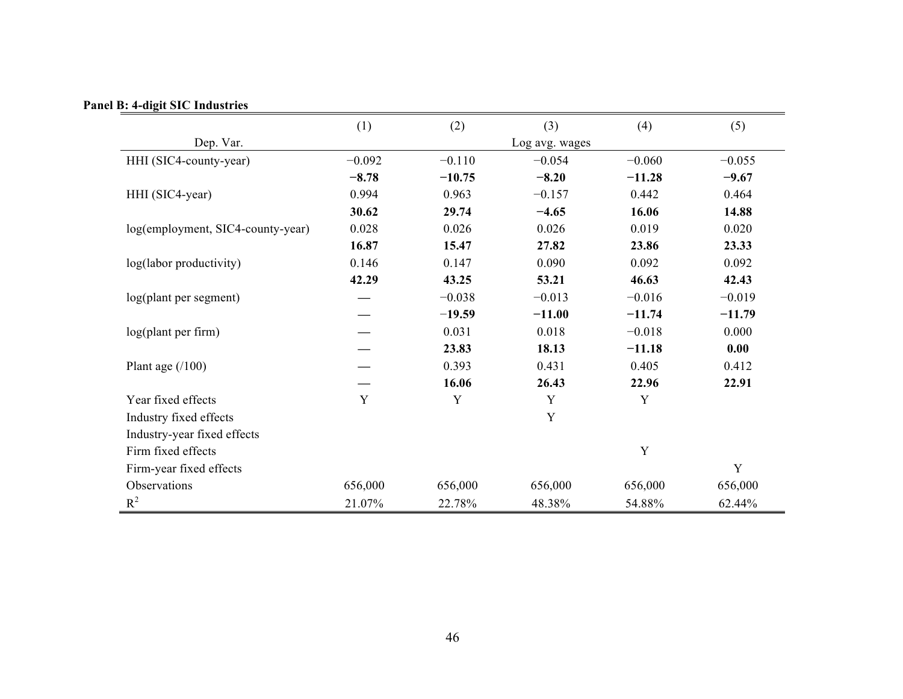| Panel B: 4-digit SIC Industries |  |
|---------------------------------|--|
|---------------------------------|--|

|                                   | (1)      | (2)      | (3)            | (4)         | (5)      |
|-----------------------------------|----------|----------|----------------|-------------|----------|
| Dep. Var.                         |          |          | Log avg. wages |             |          |
| HHI (SIC4-county-year)            | $-0.092$ | $-0.110$ | $-0.054$       | $-0.060$    | $-0.055$ |
|                                   | $-8.78$  | $-10.75$ | $-8.20$        | $-11.28$    | $-9.67$  |
| HHI (SIC4-year)                   | 0.994    | 0.963    | $-0.157$       | 0.442       | 0.464    |
|                                   | 30.62    | 29.74    | $-4.65$        | 16.06       | 14.88    |
| log(employment, SIC4-county-year) | 0.028    | 0.026    | 0.026          | 0.019       | 0.020    |
|                                   | 16.87    | 15.47    | 27.82          | 23.86       | 23.33    |
| log(labor productivity)           | 0.146    | 0.147    | 0.090          | 0.092       | 0.092    |
|                                   | 42.29    | 43.25    | 53.21          | 46.63       | 42.43    |
| log(plant per segment)            |          | $-0.038$ | $-0.013$       | $-0.016$    | $-0.019$ |
|                                   |          | $-19.59$ | $-11.00$       | $-11.74$    | $-11.79$ |
| log(plant per firm)               |          | 0.031    | 0.018          | $-0.018$    | 0.000    |
|                                   |          | 23.83    | 18.13          | $-11.18$    | 0.00     |
| Plant age $(100)$                 |          | 0.393    | 0.431          | 0.405       | 0.412    |
|                                   |          | 16.06    | 26.43          | 22.96       | 22.91    |
| Year fixed effects                | Y        | Y        | Y              | Y           |          |
| Industry fixed effects            |          |          | Y              |             |          |
| Industry-year fixed effects       |          |          |                |             |          |
| Firm fixed effects                |          |          |                | $\mathbf Y$ |          |
| Firm-year fixed effects           |          |          |                |             | Y        |
| Observations                      | 656,000  | 656,000  | 656,000        | 656,000     | 656,000  |
| $R^2$                             | 21.07%   | 22.78%   | 48.38%         | 54.88%      | 62.44%   |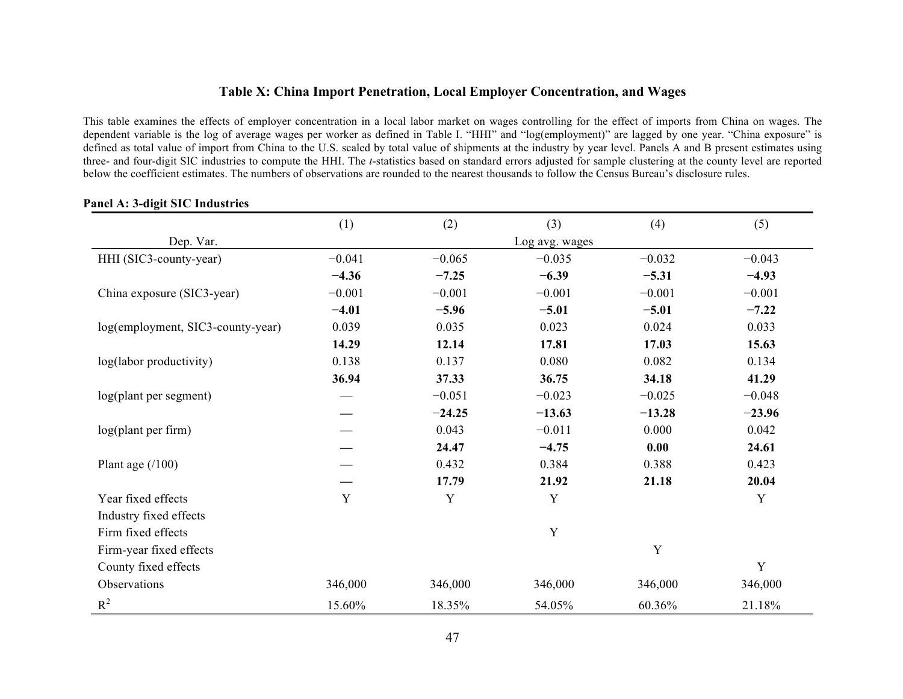# **Table X: China Import Penetration, Local Employer Concentration, and Wages**

This table examines the effects of employer concentration in a local labor market on wages controlling for the effect of imports from China on wages. The dependent variable is the log of average wages per worker as defined in Table I. "HHI" and "log(employment)" are lagged by one year. "China exposure" is defined as total value of import from China to the U.S. scaled by total value of shipments at the industry by year level. Panels A and B present estimates using three- and four-digit SIC industries to compute the HHI. The *t*-statistics based on standard errors adjusted for sample clustering at the county level are reported below the coefficient estimates. The numbers of observations are rounded to the nearest thousands to follow the Census Bureau's disclosure rules.

|                                   | (1)      | (2)      | (3)            | (4)      | (5)         |
|-----------------------------------|----------|----------|----------------|----------|-------------|
| Dep. Var.                         |          |          | Log avg. wages |          |             |
| HHI (SIC3-county-year)            | $-0.041$ | $-0.065$ | $-0.035$       | $-0.032$ | $-0.043$    |
|                                   | $-4.36$  | $-7.25$  | $-6.39$        | $-5.31$  | $-4.93$     |
| China exposure (SIC3-year)        | $-0.001$ | $-0.001$ | $-0.001$       | $-0.001$ | $-0.001$    |
|                                   | $-4.01$  | $-5.96$  | $-5.01$        | $-5.01$  | $-7.22$     |
| log(employment, SIC3-county-year) | 0.039    | 0.035    | 0.023          | 0.024    | 0.033       |
|                                   | 14.29    | 12.14    | 17.81          | 17.03    | 15.63       |
| log(labor productivity)           | 0.138    | 0.137    | 0.080          | 0.082    | 0.134       |
|                                   | 36.94    | 37.33    | 36.75          | 34.18    | 41.29       |
| log(plant per segment)            |          | $-0.051$ | $-0.023$       | $-0.025$ | $-0.048$    |
|                                   |          | $-24.25$ | $-13.63$       | $-13.28$ | $-23.96$    |
| log(plant per firm)               |          | 0.043    | $-0.011$       | 0.000    | 0.042       |
|                                   |          | 24.47    | $-4.75$        | 0.00     | 24.61       |
| Plant age $(100)$                 |          | 0.432    | 0.384          | 0.388    | 0.423       |
|                                   |          | 17.79    | 21.92          | 21.18    | 20.04       |
| Year fixed effects                | Y        | Y        | Y              |          | $\mathbf Y$ |
| Industry fixed effects            |          |          |                |          |             |
| Firm fixed effects                |          |          | $\mathbf Y$    |          |             |
| Firm-year fixed effects           |          |          |                | Y        |             |
| County fixed effects              |          |          |                |          | Y           |
| Observations                      | 346,000  | 346,000  | 346,000        | 346,000  | 346,000     |
| $R^2$                             | 15.60%   | 18.35%   | 54.05%         | 60.36%   | 21.18%      |

#### **Panel A: 3-digit SIC Industries**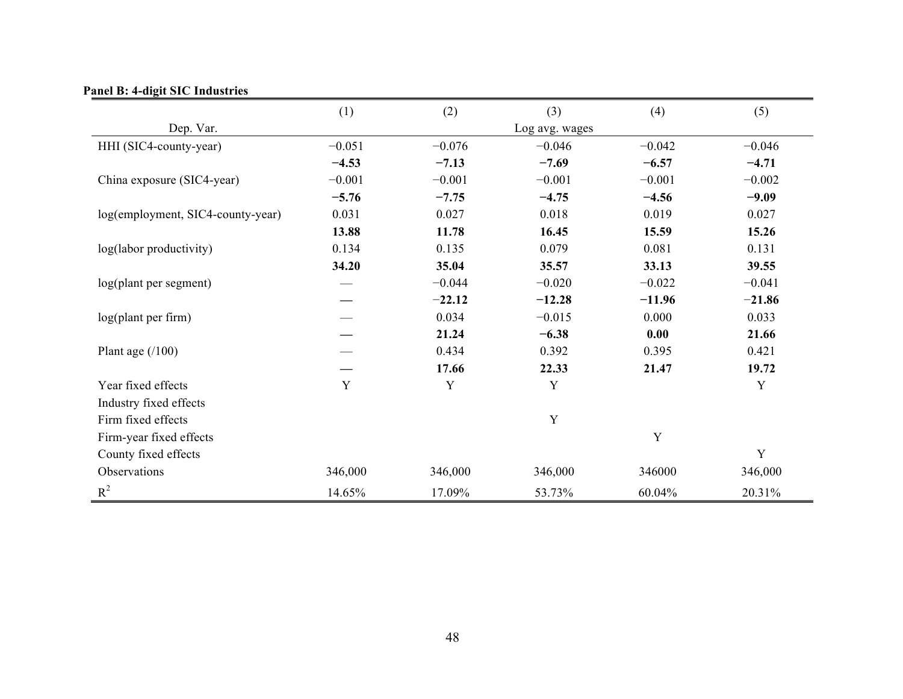|  |  |  |  | <b>Panel B: 4-digit SIC Industries</b> |
|--|--|--|--|----------------------------------------|
|--|--|--|--|----------------------------------------|

|                                   | (1)      | (2)      | (3)            | (4)      | (5)      |
|-----------------------------------|----------|----------|----------------|----------|----------|
| Dep. Var.                         |          |          | Log avg. wages |          |          |
| HHI (SIC4-county-year)            | $-0.051$ | $-0.076$ | $-0.046$       | $-0.042$ | $-0.046$ |
|                                   | $-4.53$  | $-7.13$  | $-7.69$        | $-6.57$  | $-4.71$  |
| China exposure (SIC4-year)        | $-0.001$ | $-0.001$ | $-0.001$       | $-0.001$ | $-0.002$ |
|                                   | $-5.76$  | $-7.75$  | $-4.75$        | $-4.56$  | $-9.09$  |
| log(employment, SIC4-county-year) | 0.031    | 0.027    | 0.018          | 0.019    | 0.027    |
|                                   | 13.88    | 11.78    | 16.45          | 15.59    | 15.26    |
| log(labor productivity)           | 0.134    | 0.135    | 0.079          | 0.081    | 0.131    |
|                                   | 34.20    | 35.04    | 35.57          | 33.13    | 39.55    |
| log(plant per segment)            |          | $-0.044$ | $-0.020$       | $-0.022$ | $-0.041$ |
|                                   |          | $-22.12$ | $-12.28$       | $-11.96$ | $-21.86$ |
| log(plant per firm)               |          | 0.034    | $-0.015$       | 0.000    | 0.033    |
|                                   |          | 21.24    | $-6.38$        | 0.00     | 21.66    |
| Plant age $(100)$                 |          | 0.434    | 0.392          | 0.395    | 0.421    |
|                                   |          | 17.66    | 22.33          | 21.47    | 19.72    |
| Year fixed effects                | Y        | Y        | Y              |          | Y        |
| Industry fixed effects            |          |          |                |          |          |
| Firm fixed effects                |          |          | $\mathbf Y$    |          |          |
| Firm-year fixed effects           |          |          |                | Y        |          |
| County fixed effects              |          |          |                |          | Y        |
| Observations                      | 346,000  | 346,000  | 346,000        | 346000   | 346,000  |
| $R^2$                             | 14.65%   | 17.09%   | 53.73%         | 60.04%   | 20.31%   |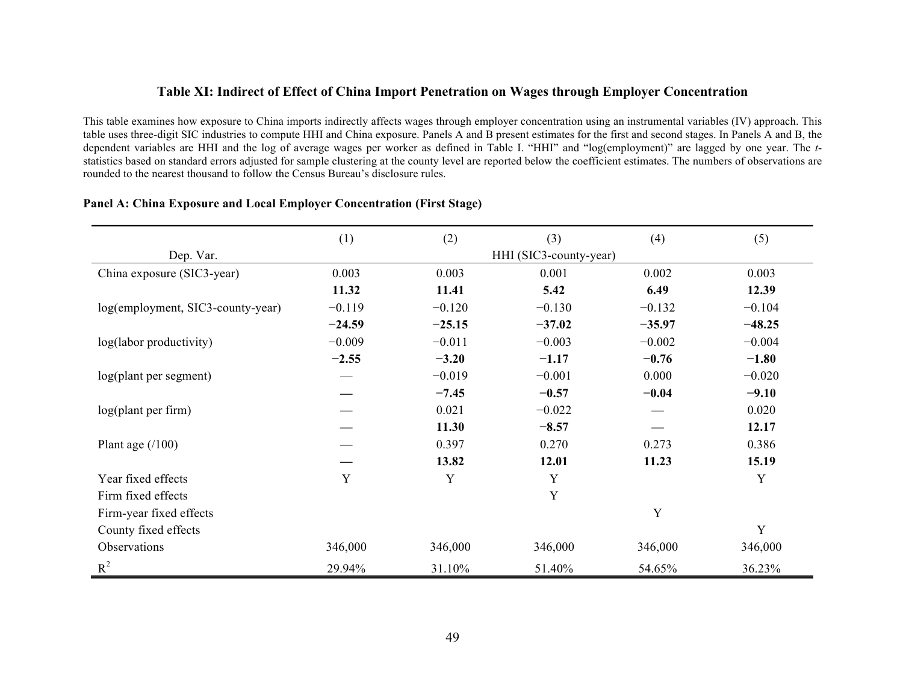# **Table XI: Indirect of Effect of China Import Penetration on Wages through Employer Concentration**

This table examines how exposure to China imports indirectly affects wages through employer concentration using an instrumental variables (IV) approach. This table uses three-digit SIC industries to compute HHI and China exposure. Panels A and B present estimates for the first and second stages. In Panels A and B, the dependent variables are HHI and the log of average wages per worker as defined in Table I. "HHI" and "log(employment)" are lagged by one year. The *t*statistics based on standard errors adjusted for sample clustering at the county level are reported below the coefficient estimates. The numbers of observations are rounded to the nearest thousand to follow the Census Bureau's disclosure rules.

|                                   | (1)      | (2)      | (3)                    | (4)      | (5)      |
|-----------------------------------|----------|----------|------------------------|----------|----------|
| Dep. Var.                         |          |          | HHI (SIC3-county-year) |          |          |
| China exposure (SIC3-year)        | 0.003    | 0.003    | 0.001                  | 0.002    | 0.003    |
|                                   | 11.32    | 11.41    | 5.42                   | 6.49     | 12.39    |
| log(employment, SIC3-county-year) | $-0.119$ | $-0.120$ | $-0.130$               | $-0.132$ | $-0.104$ |
|                                   | $-24.59$ | $-25.15$ | $-37.02$               | $-35.97$ | $-48.25$ |
| log(labor productivity)           | $-0.009$ | $-0.011$ | $-0.003$               | $-0.002$ | $-0.004$ |
|                                   | $-2.55$  | $-3.20$  | $-1.17$                | $-0.76$  | $-1.80$  |
| log(plant per segment)            |          | $-0.019$ | $-0.001$               | 0.000    | $-0.020$ |
|                                   |          | $-7.45$  | $-0.57$                | $-0.04$  | $-9.10$  |
| log(plant per firm)               |          | 0.021    | $-0.022$               |          | 0.020    |
|                                   |          | 11.30    | $-8.57$                |          | 12.17    |
| Plant age $(100)$                 |          | 0.397    | 0.270                  | 0.273    | 0.386    |
|                                   |          | 13.82    | 12.01                  | 11.23    | 15.19    |
| Year fixed effects                | Y        | Y        | Y                      |          | Y        |
| Firm fixed effects                |          |          | $\mathbf Y$            |          |          |
| Firm-year fixed effects           |          |          |                        | Y        |          |
| County fixed effects              |          |          |                        |          | Y        |
| Observations                      | 346,000  | 346,000  | 346,000                | 346,000  | 346,000  |
| $R^2$                             | 29.94%   | 31.10%   | 51.40%                 | 54.65%   | 36.23%   |

#### **Panel A: China Exposure and Local Employer Concentration (First Stage)**